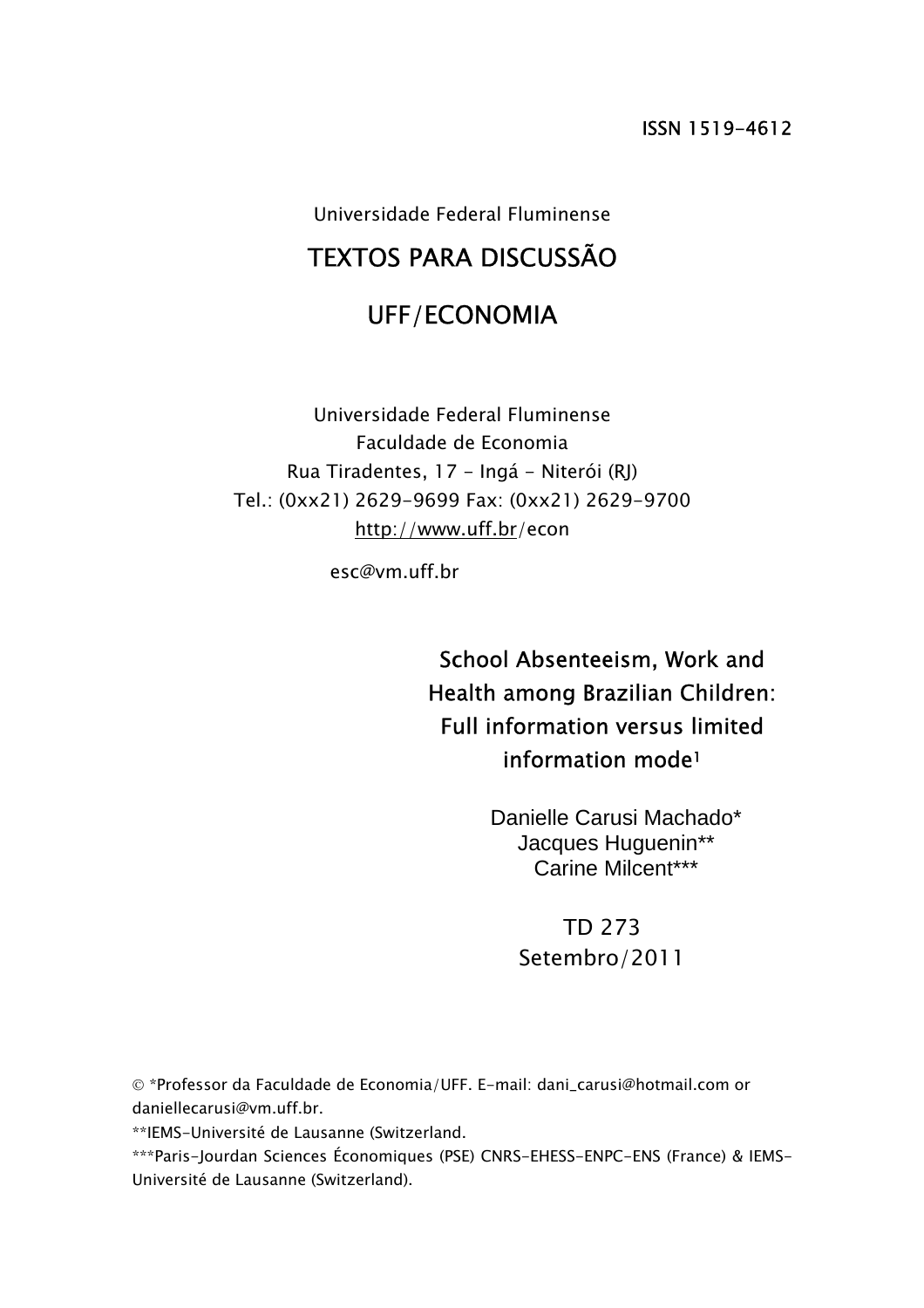Universidade Federal Fluminense

# TEXTOS PARA DISCUSSÃO

## UFF/ECONOMIA

Universidade Federal Fluminense Faculdade de Economia Rua Tiradentes, 17 - Ingá - Niterói (RJ) Tel.: (0xx21) 2629-9699 Fax: (0xx21) 2629-9700 http://www.uff.br/econ

esc@vm.uff.br

School Absenteeism, Work and Health among Brazilian Children: Full information versus limited information mode1

> Danielle Carusi Machado\* Jacques Huguenin\*\* Carine Milcent\*\*\*

> > TD 273 Setembro/2011

© \*Professor da Faculdade de Economia/UFF. E-mail: dani\_carusi@hotmail.com or daniellecarusi@vm.uff.br.

\*\*IEMS-Université de Lausanne (Switzerland.

\*\*\*Paris-Jourdan Sciences Économiques (PSE) CNRS-EHESS-ENPC-ENS (France) & IEMS-Université de Lausanne (Switzerland).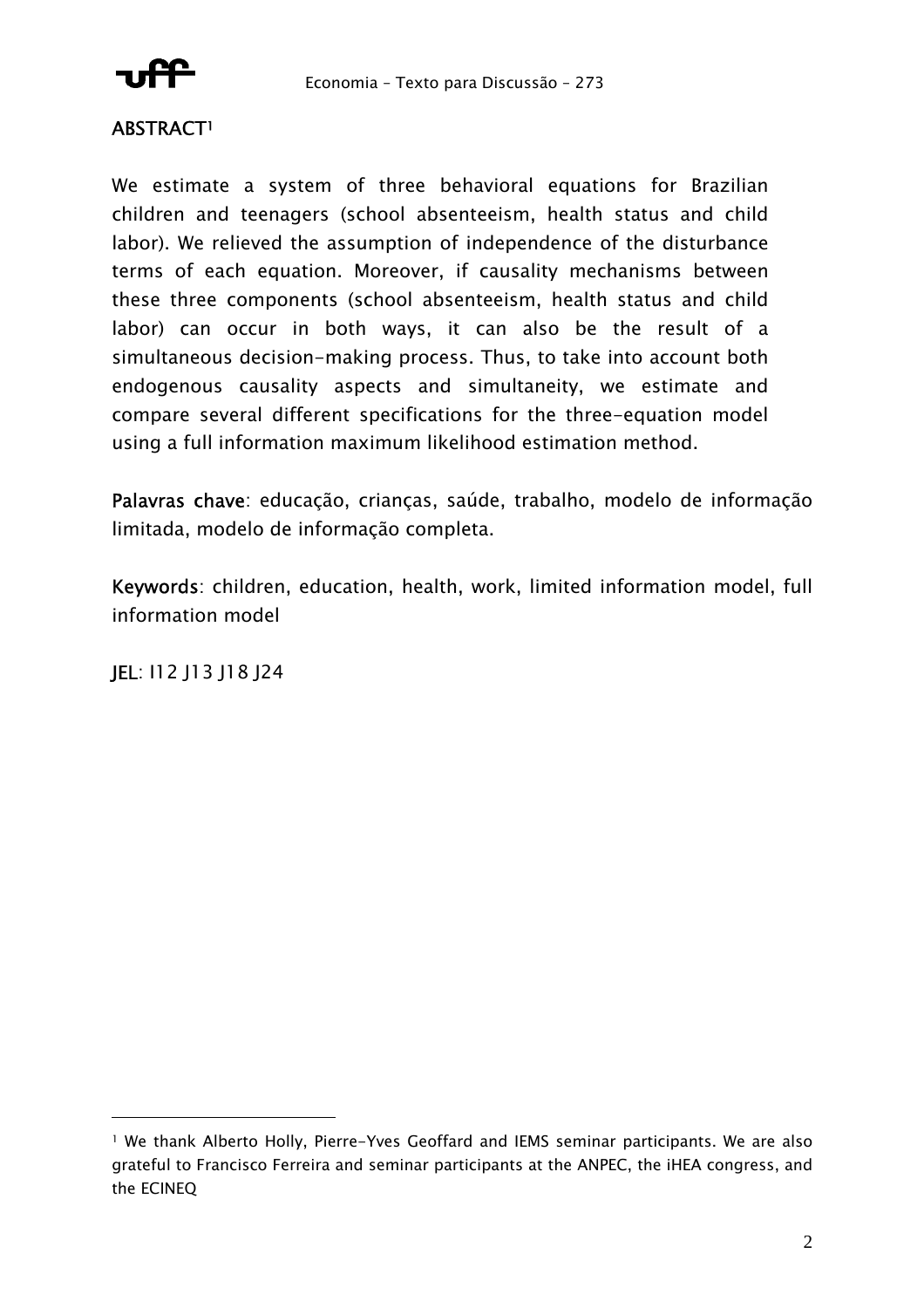

## ABSTRACT1

We estimate a system of three behavioral equations for Brazilian children and teenagers (school absenteeism, health status and child labor). We relieved the assumption of independence of the disturbance terms of each equation. Moreover, if causality mechanisms between these three components (school absenteeism, health status and child labor) can occur in both ways, it can also be the result of a simultaneous decision-making process. Thus, to take into account both endogenous causality aspects and simultaneity, we estimate and compare several different specifications for the three-equation model using a full information maximum likelihood estimation method.

Palavras chave: educação, crianças, saúde, trabalho, modelo de informação limitada, modelo de informação completa.

Keywords: children, education, health, work, limited information model, full information model

JEL: I12 J13 J18 J24

 $\overline{a}$ 

<sup>1</sup> We thank Alberto Holly, Pierre-Yves Geoffard and IEMS seminar participants. We are also grateful to Francisco Ferreira and seminar participants at the ANPEC, the iHEA congress, and the ECINEQ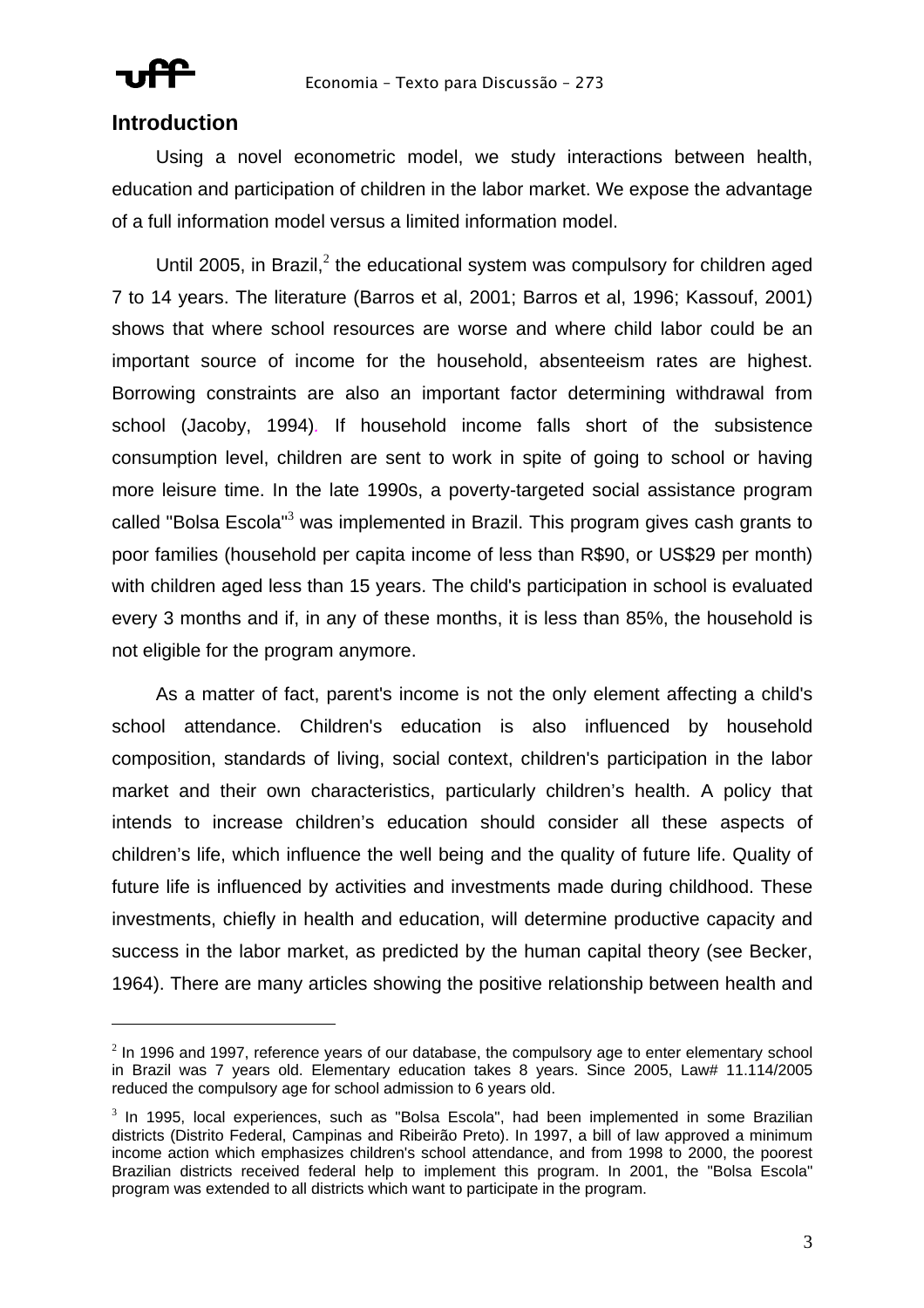

 $\overline{a}$ 

## **Introduction**

Using a novel econometric model, we study interactions between health, education and participation of children in the labor market. We expose the advantage of a full information model versus a limited information model.

Until 2005, in Brazil, $^2$  the educational system was compulsory for children aged 7 to 14 years. The literature (Barros et al, 2001; Barros et al, 1996; Kassouf, 2001) shows that where school resources are worse and where child labor could be an important source of income for the household, absenteeism rates are highest. Borrowing constraints are also an important factor determining withdrawal from school (Jacoby, 1994)*.* If household income falls short of the subsistence consumption level, children are sent to work in spite of going to school or having more leisure time. In the late 1990s, a poverty-targeted social assistance program called "Bolsa Escola"<sup>3</sup> was implemented in Brazil. This program gives cash grants to poor families (household per capita income of less than R\$90, or US\$29 per month) with children aged less than 15 years. The child's participation in school is evaluated every 3 months and if, in any of these months, it is less than 85%, the household is not eligible for the program anymore.

As a matter of fact, parent's income is not the only element affecting a child's school attendance. Children's education is also influenced by household composition, standards of living, social context, children's participation in the labor market and their own characteristics, particularly children's health. A policy that intends to increase children's education should consider all these aspects of children's life, which influence the well being and the quality of future life. Quality of future life is influenced by activities and investments made during childhood. These investments, chiefly in health and education, will determine productive capacity and success in the labor market, as predicted by the human capital theory (see Becker, 1964). There are many articles showing the positive relationship between health and

 $2$  In 1996 and 1997, reference years of our database, the compulsory age to enter elementary school in Brazil was 7 years old. Elementary education takes 8 years. Since 2005, Law# 11.114/2005 reduced the compulsory age for school admission to 6 years old.

 $3$  In 1995, local experiences, such as "Bolsa Escola", had been implemented in some Brazilian districts (Distrito Federal, Campinas and Ribeirão Preto). In 1997, a bill of law approved a minimum income action which emphasizes children's school attendance, and from 1998 to 2000, the poorest Brazilian districts received federal help to implement this program. In 2001, the "Bolsa Escola" program was extended to all districts which want to participate in the program.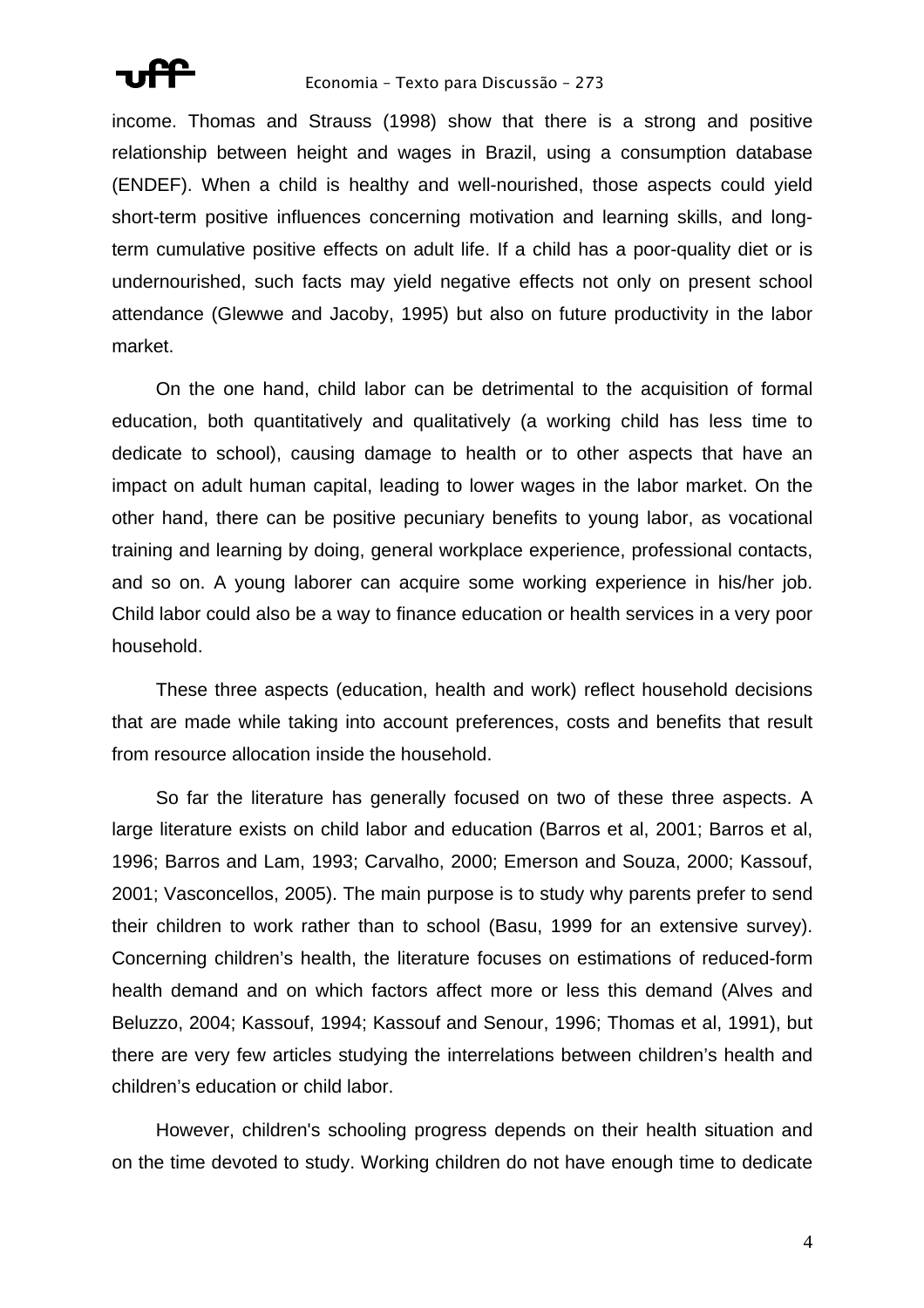

income. Thomas and Strauss (1998) show that there is a strong and positive relationship between height and wages in Brazil, using a consumption database (ENDEF). When a child is healthy and well-nourished, those aspects could yield short-term positive influences concerning motivation and learning skills, and longterm cumulative positive effects on adult life. If a child has a poor-quality diet or is undernourished, such facts may yield negative effects not only on present school attendance (Glewwe and Jacoby, 1995) but also on future productivity in the labor market.

On the one hand, child labor can be detrimental to the acquisition of formal education, both quantitatively and qualitatively (a working child has less time to dedicate to school), causing damage to health or to other aspects that have an impact on adult human capital, leading to lower wages in the labor market. On the other hand, there can be positive pecuniary benefits to young labor, as vocational training and learning by doing, general workplace experience, professional contacts, and so on. A young laborer can acquire some working experience in his/her job. Child labor could also be a way to finance education or health services in a very poor household.

These three aspects (education, health and work) reflect household decisions that are made while taking into account preferences, costs and benefits that result from resource allocation inside the household.

So far the literature has generally focused on two of these three aspects. A large literature exists on child labor and education (Barros et al, 2001; Barros et al, 1996; Barros and Lam, 1993; Carvalho, 2000; Emerson and Souza, 2000; Kassouf, 2001; Vasconcellos, 2005). The main purpose is to study why parents prefer to send their children to work rather than to school (Basu, 1999 for an extensive survey). Concerning children's health, the literature focuses on estimations of reduced-form health demand and on which factors affect more or less this demand (Alves and Beluzzo, 2004; Kassouf, 1994; Kassouf and Senour, 1996; Thomas et al, 1991), but there are very few articles studying the interrelations between children's health and children's education or child labor.

However, children's schooling progress depends on their health situation and on the time devoted to study. Working children do not have enough time to dedicate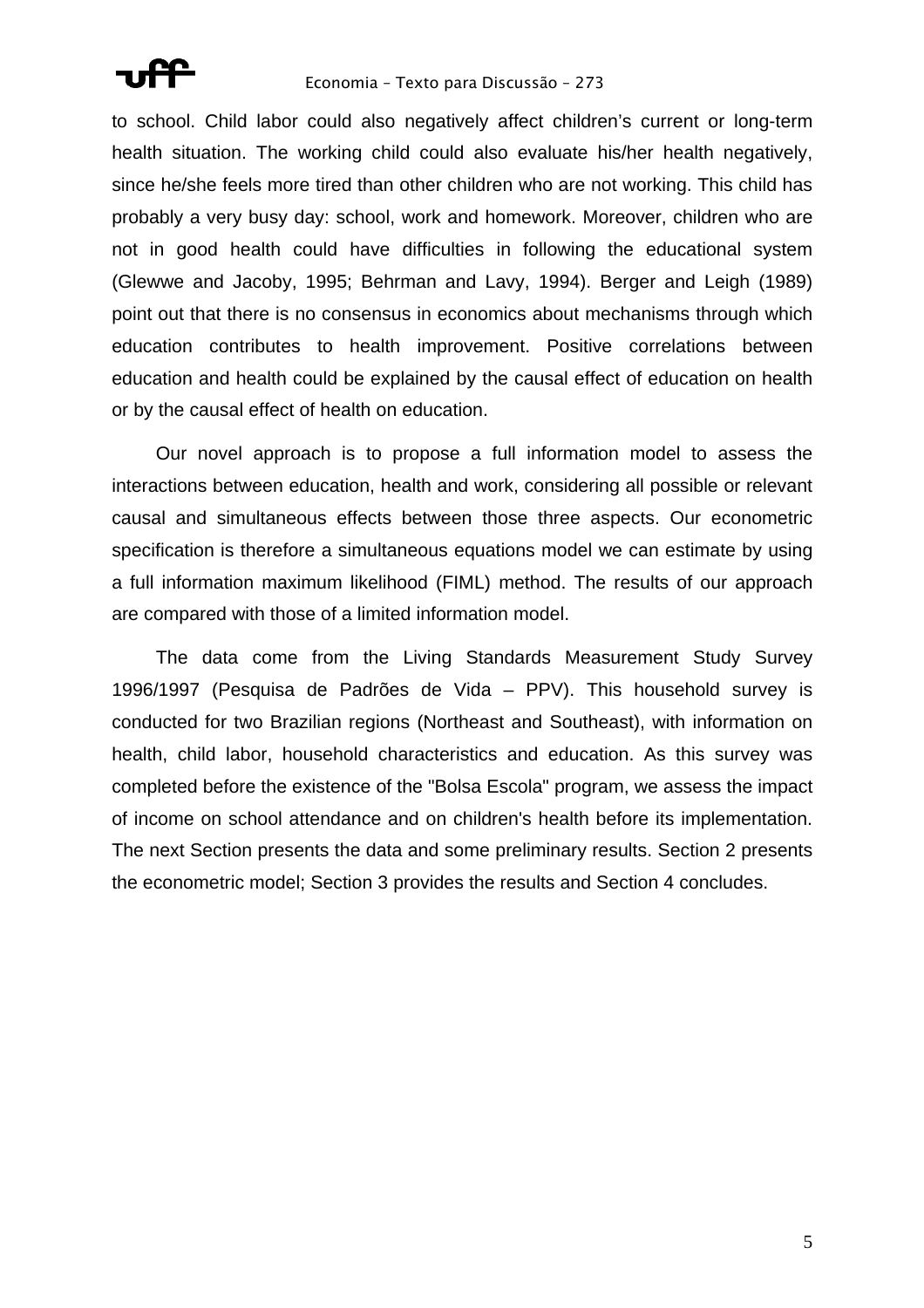

to school. Child labor could also negatively affect children's current or long-term health situation. The working child could also evaluate his/her health negatively, since he/she feels more tired than other children who are not working. This child has probably a very busy day: school, work and homework. Moreover, children who are not in good health could have difficulties in following the educational system (Glewwe and Jacoby, 1995; Behrman and Lavy, 1994). Berger and Leigh (1989) point out that there is no consensus in economics about mechanisms through which education contributes to health improvement. Positive correlations between education and health could be explained by the causal effect of education on health or by the causal effect of health on education.

Our novel approach is to propose a full information model to assess the interactions between education, health and work, considering all possible or relevant causal and simultaneous effects between those three aspects. Our econometric specification is therefore a simultaneous equations model we can estimate by using a full information maximum likelihood (FIML) method. The results of our approach are compared with those of a limited information model.

The data come from the Living Standards Measurement Study Survey 1996/1997 (Pesquisa de Padrões de Vida – PPV). This household survey is conducted for two Brazilian regions (Northeast and Southeast), with information on health, child labor, household characteristics and education. As this survey was completed before the existence of the "Bolsa Escola" program, we assess the impact of income on school attendance and on children's health before its implementation. The next Section presents the data and some preliminary results. Section 2 presents the econometric model; Section 3 provides the results and Section 4 concludes.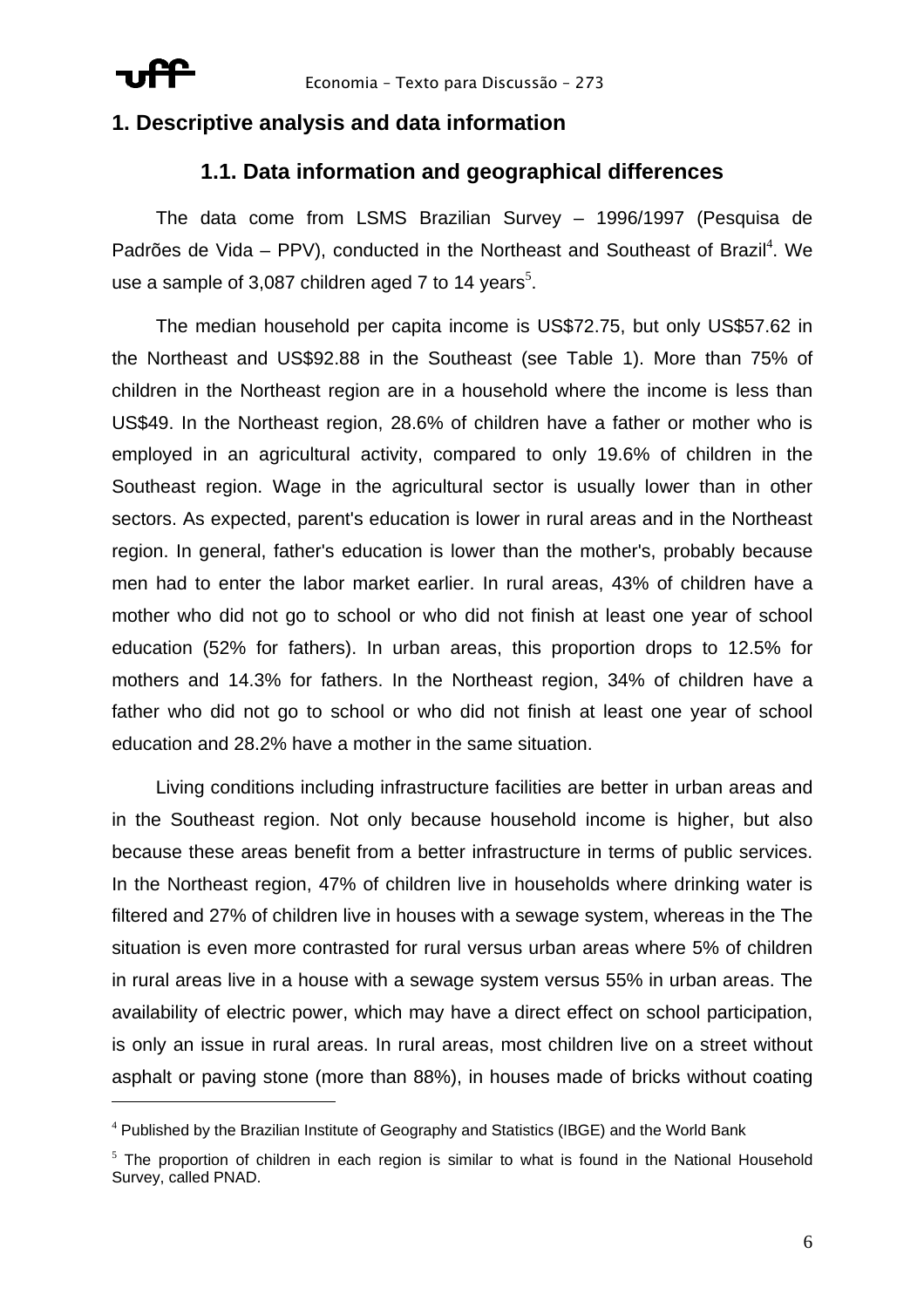

 $\overline{a}$ 

## **1. Descriptive analysis and data information**

## **1.1. Data information and geographical differences**

The data come from LSMS Brazilian Survey – 1996/1997 (Pesquisa de Padrões de Vida – PPV), conducted in the Northeast and Southeast of Brazil<sup>4</sup>. We use a sample of 3,087 children aged 7 to 14 years<sup>5</sup>.

The median household per capita income is US\$72.75, but only US\$57.62 in the Northeast and US\$92.88 in the Southeast (see Table 1). More than 75% of children in the Northeast region are in a household where the income is less than US\$49. In the Northeast region, 28.6% of children have a father or mother who is employed in an agricultural activity, compared to only 19.6% of children in the Southeast region. Wage in the agricultural sector is usually lower than in other sectors. As expected, parent's education is lower in rural areas and in the Northeast region. In general, father's education is lower than the mother's, probably because men had to enter the labor market earlier. In rural areas, 43% of children have a mother who did not go to school or who did not finish at least one year of school education (52% for fathers). In urban areas, this proportion drops to 12.5% for mothers and 14.3% for fathers. In the Northeast region, 34% of children have a father who did not go to school or who did not finish at least one year of school education and 28.2% have a mother in the same situation.

Living conditions including infrastructure facilities are better in urban areas and in the Southeast region. Not only because household income is higher, but also because these areas benefit from a better infrastructure in terms of public services. In the Northeast region, 47% of children live in households where drinking water is filtered and 27% of children live in houses with a sewage system, whereas in the The situation is even more contrasted for rural versus urban areas where 5% of children in rural areas live in a house with a sewage system versus 55% in urban areas. The availability of electric power, which may have a direct effect on school participation, is only an issue in rural areas. In rural areas, most children live on a street without asphalt or paving stone (more than 88%), in houses made of bricks without coating

<sup>&</sup>lt;sup>4</sup> Published by the Brazilian Institute of Geography and Statistics (IBGE) and the World Bank

 $5$  The proportion of children in each region is similar to what is found in the National Household Survey, called PNAD.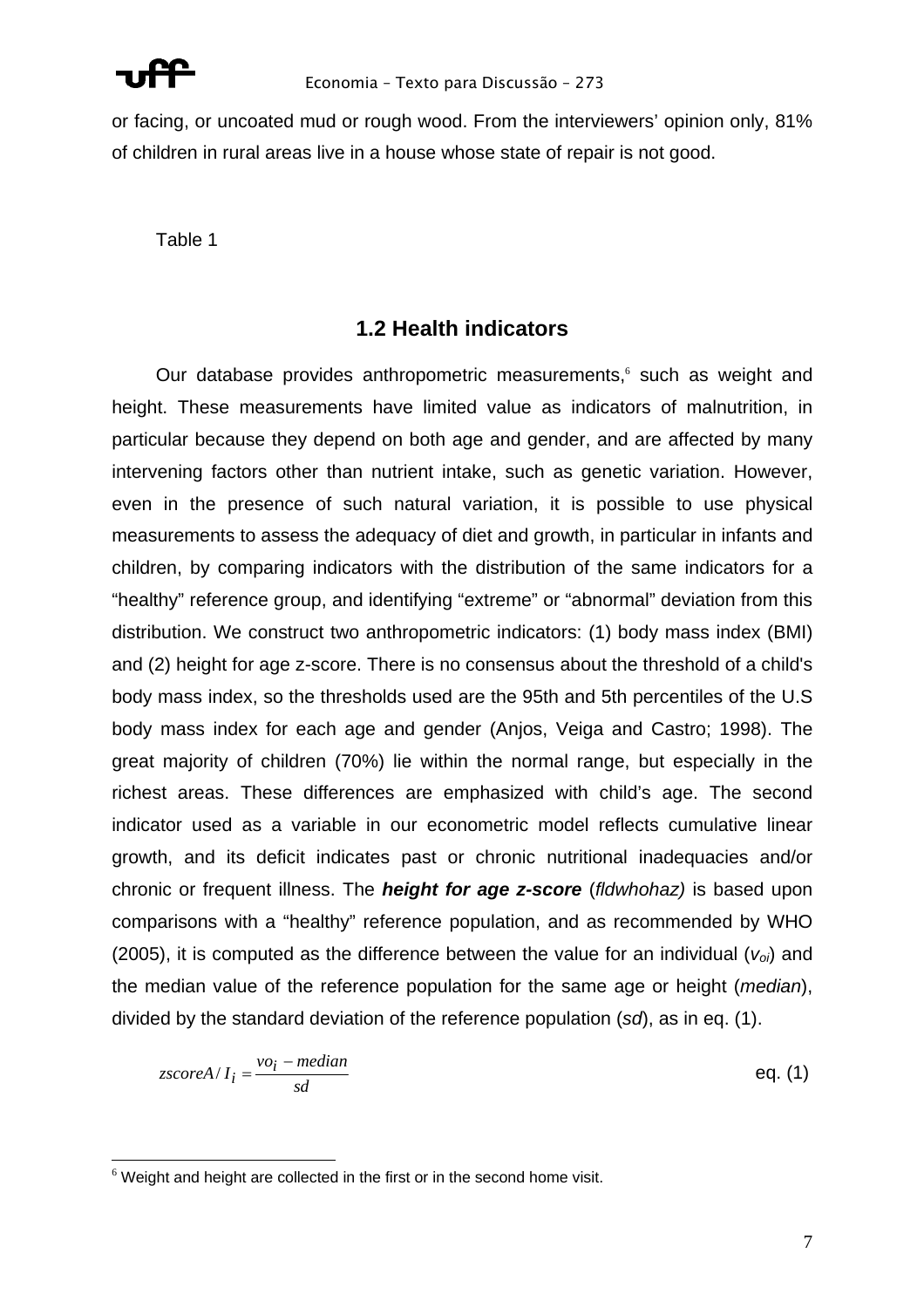

or facing, or uncoated mud or rough wood. From the interviewers' opinion only, 81% of children in rural areas live in a house whose state of repair is not good.

Table 1

## **1.2 Health indicators**

Our database provides anthropometric measurements,<sup>6</sup> such as weight and height. These measurements have limited value as indicators of malnutrition, in particular because they depend on both age and gender, and are affected by many intervening factors other than nutrient intake, such as genetic variation. However, even in the presence of such natural variation, it is possible to use physical measurements to assess the adequacy of diet and growth, in particular in infants and children, by comparing indicators with the distribution of the same indicators for a "healthy" reference group, and identifying "extreme" or "abnormal" deviation from this distribution. We construct two anthropometric indicators: (1) body mass index (BMI) and (2) height for age z-score. There is no consensus about the threshold of a child's body mass index, so the thresholds used are the 95th and 5th percentiles of the U.S body mass index for each age and gender (Anjos, Veiga and Castro; 1998). The great majority of children (70%) lie within the normal range, but especially in the richest areas. These differences are emphasized with child's age. The second indicator used as a variable in our econometric model reflects cumulative linear growth, and its deficit indicates past or chronic nutritional inadequacies and/or chronic or frequent illness. The *height for age z-score* (*fldwhohaz)* is based upon comparisons with a "healthy" reference population, and as recommended by WHO (2005), it is computed as the difference between the value for an individual  $(v_{oi})$  and the median value of the reference population for the same age or height (*median*), divided by the standard deviation of the reference population (*sd*), as in eq. (1).

$$
zscoreA/I_i = \frac{vo_i - median}{sd}
$$
eq. (1)

 $\overline{a}$  $6$  Weight and height are collected in the first or in the second home visit.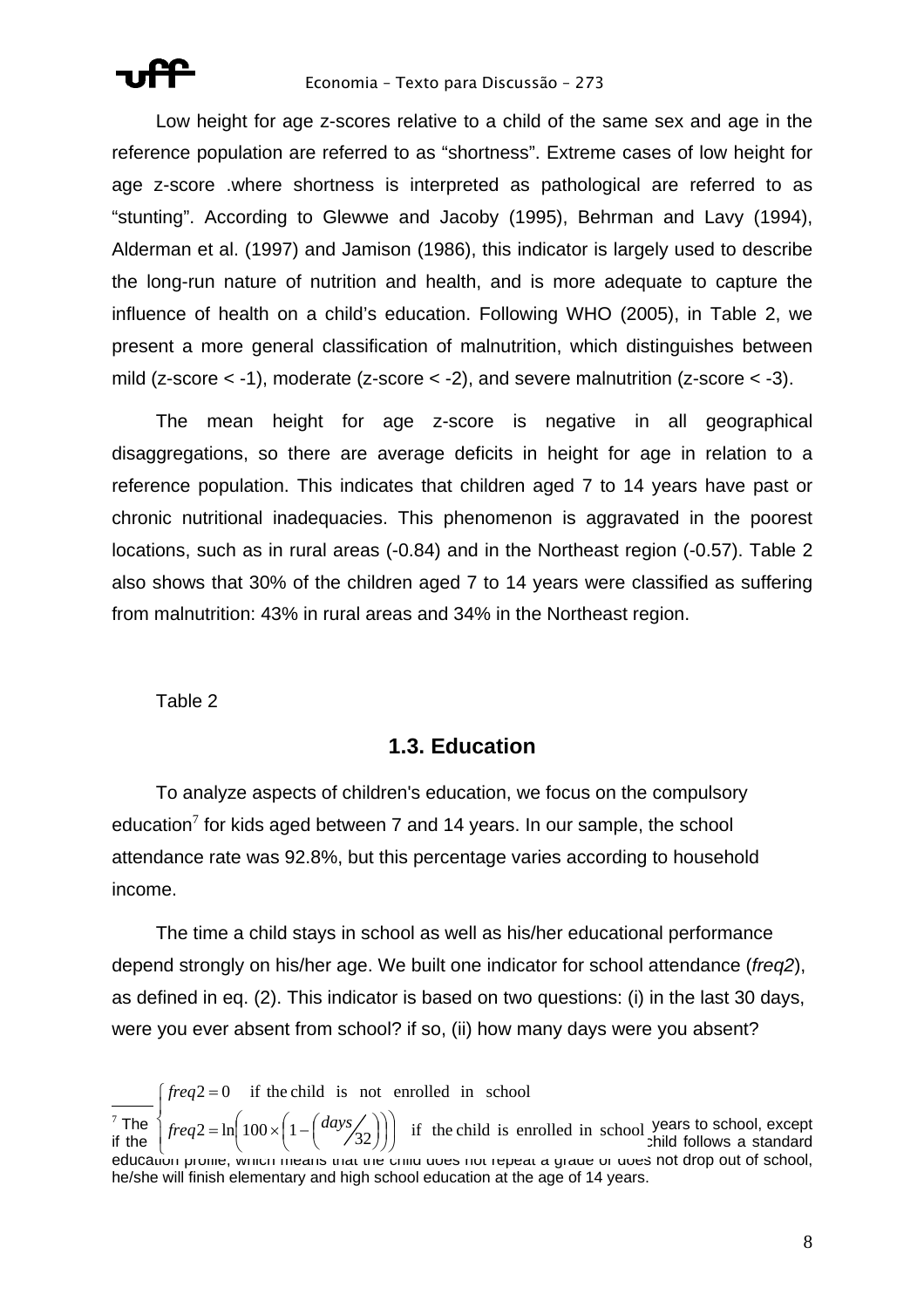

Low height for age z-scores relative to a child of the same sex and age in the reference population are referred to as "shortness". Extreme cases of low height for age z-score .where shortness is interpreted as pathological are referred to as "stunting". According to Glewwe and Jacoby (1995), Behrman and Lavy (1994), Alderman et al. (1997) and Jamison (1986), this indicator is largely used to describe the long-run nature of nutrition and health, and is more adequate to capture the influence of health on a child's education. Following WHO (2005), in Table 2, we present a more general classification of malnutrition, which distinguishes between mild (z-score  $<$  -1), moderate (z-score  $<$  -2), and severe malnutrition (z-score  $<$  -3).

The mean height for age z-score is negative in all geographical disaggregations, so there are average deficits in height for age in relation to a reference population. This indicates that children aged 7 to 14 years have past or chronic nutritional inadequacies. This phenomenon is aggravated in the poorest locations, such as in rural areas (-0.84) and in the Northeast region (-0.57). Table 2 also shows that 30% of the children aged 7 to 14 years were classified as suffering from malnutrition: 43% in rural areas and 34% in the Northeast region.

Table 2

## **1.3. Education**

To analyze aspects of children's education, we focus on the compulsory education<sup>7</sup> for kids aged between 7 and 14 years. In our sample, the school attendance rate was 92.8%, but this percentage varies according to household income.

The time a child stays in school as well as his/her educational performance depend strongly on his/her age. We built one indicator for school attendance (*freq2*), as defined in eq. (2). This indicator is based on two questions: (i) in the last 30 days, were you ever absent from school? if so, (ii) how many days were you absent?

 $\overline{a}$ <sup>7</sup> The  $\int_{\text{frac}{}$   $\frac{1}{2}$   $\int_{\text{frac}}^{\text{1}} \frac{100}{\sqrt{1-\frac{1}{2}}}$   $\int \frac{days}{\sqrt{1-\frac{1}{2}}}$  is enrolled in school, years to school, except if the  $\left( \frac{1}{2} \frac{1}{2} \frac{1}{2} \frac{1}{2} \frac{1}{2} \frac{1}{2} \frac{1}{2} \frac{1}{2} \frac{1}{2} \frac{1}{2} \frac{1}{2} \frac{1}{2} \frac{1}{2} \frac{1}{2} \frac{1}{2} \frac{1}{2} \frac{1}{2} \frac{1}{2} \frac{1}{2} \frac{1}{2} \frac{1}{2} \frac{1}{2} \frac{1}{2} \frac{1}{2} \frac{1}{2} \frac{1}{2} \frac{1}{2} \frac{1}{2} \frac{1}{2} \frac{1}{2}$ ות the  $\lceil \cdot \rceil$   $\lceil \cdot \rceil$   $\lceil \cdot \rceil$   $\lceil \cdot \rceil$   $\lceil \cdot \rceil$   $\lceil \cdot \rceil$   $\lceil \cdot \rceil$   $\lceil \cdot \rceil$  )  $\lceil \cdot \rceil$  and the child does not drop out of school, education prome, which means that the child does not depeat a grade o he/she will finish elementary and high school education at the age of 14 years.  $\int \text{freq2} = \ln \left( 100 \times \left( 1 - \left( \frac{\text{days}}{32} \right) \right) \right)$  if the child is enrolled in school  $\left\{ \text{freq2} = \ln \left( 100 \times \left( 1 - \left( \frac{\text{days}}{32} \right) \right) \right) \right\}$  $\frac{1}{2}$  $\left\lceil \right\rceil$ ⎠  $\left(100 \times \left(1 - \left(\frac{days}{32}\right)\right)\right)$  $2 = \ln\left(100 \times \left(1 - \left(\frac{days}{32}\right)\right)\right)$  if the child is enrolled in school  $freq2 = 0$  if the child is not enrolled in school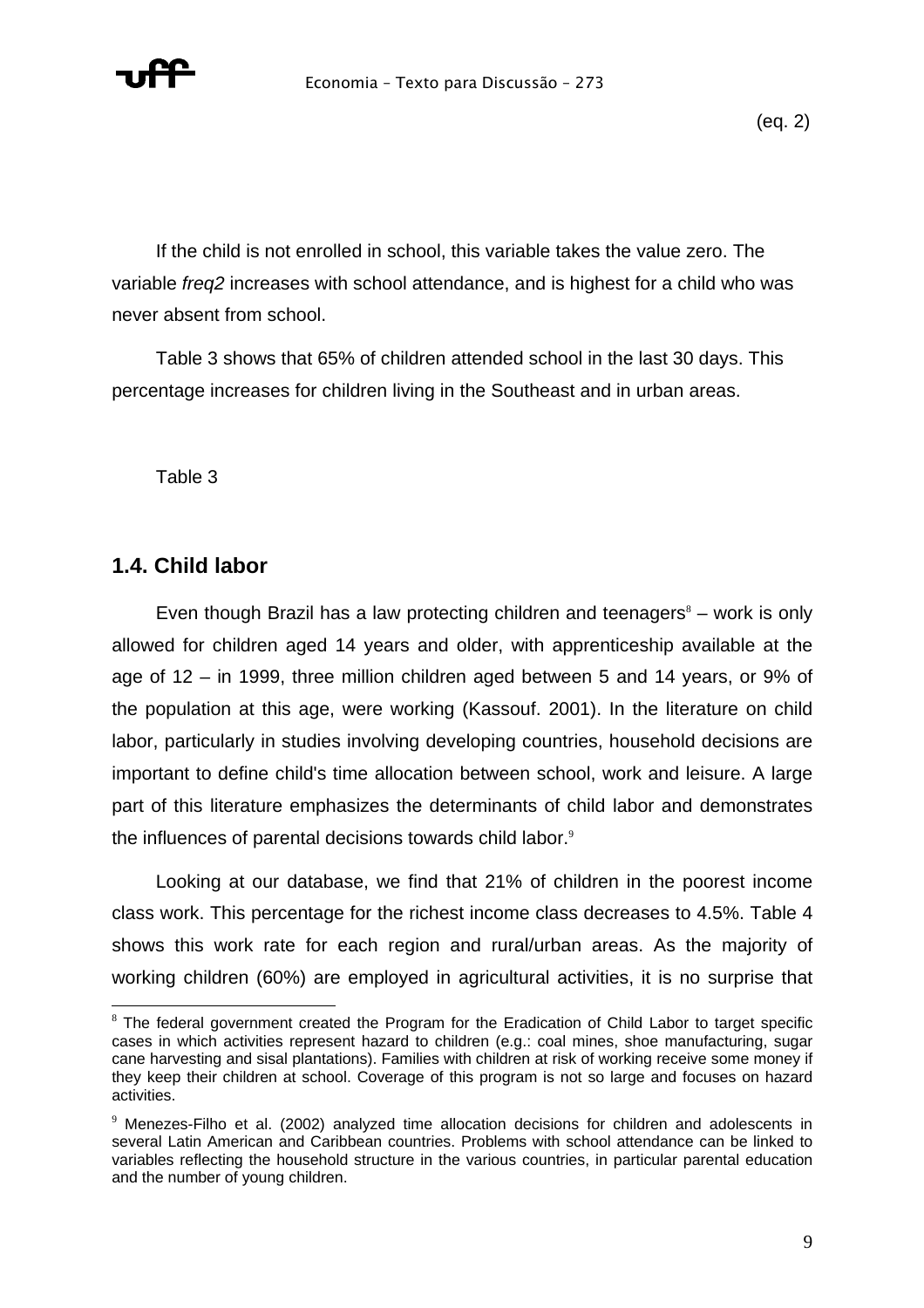

If the child is not enrolled in school, this variable takes the value zero. The variable *freq2* increases with school attendance, and is highest for a child who was never absent from school.

Table 3 shows that 65% of children attended school in the last 30 days. This percentage increases for children living in the Southeast and in urban areas.

Table 3

## **1.4. Child labor**

 $\overline{a}$ 

Even though Brazil has a law protecting children and teenagers $<sup>8</sup>$  – work is only</sup> allowed for children aged 14 years and older, with apprenticeship available at the age of 12 – in 1999, three million children aged between 5 and 14 years, or 9% of the population at this age, were working (Kassouf. 2001). In the literature on child labor, particularly in studies involving developing countries, household decisions are important to define child's time allocation between school, work and leisure. A large part of this literature emphasizes the determinants of child labor and demonstrates the influences of parental decisions towards child labor. $9$ 

Looking at our database, we find that 21% of children in the poorest income class work. This percentage for the richest income class decreases to 4.5%. Table 4 shows this work rate for each region and rural/urban areas. As the majority of working children (60%) are employed in agricultural activities, it is no surprise that

 $8$  The federal government created the Program for the Eradication of Child Labor to target specific cases in which activities represent hazard to children (e.g.: coal mines, shoe manufacturing, sugar cane harvesting and sisal plantations). Families with children at risk of working receive some money if they keep their children at school. Coverage of this program is not so large and focuses on hazard activities.

 $9$  Menezes-Filho et al. (2002) analyzed time allocation decisions for children and adolescents in several Latin American and Caribbean countries. Problems with school attendance can be linked to variables reflecting the household structure in the various countries, in particular parental education and the number of young children.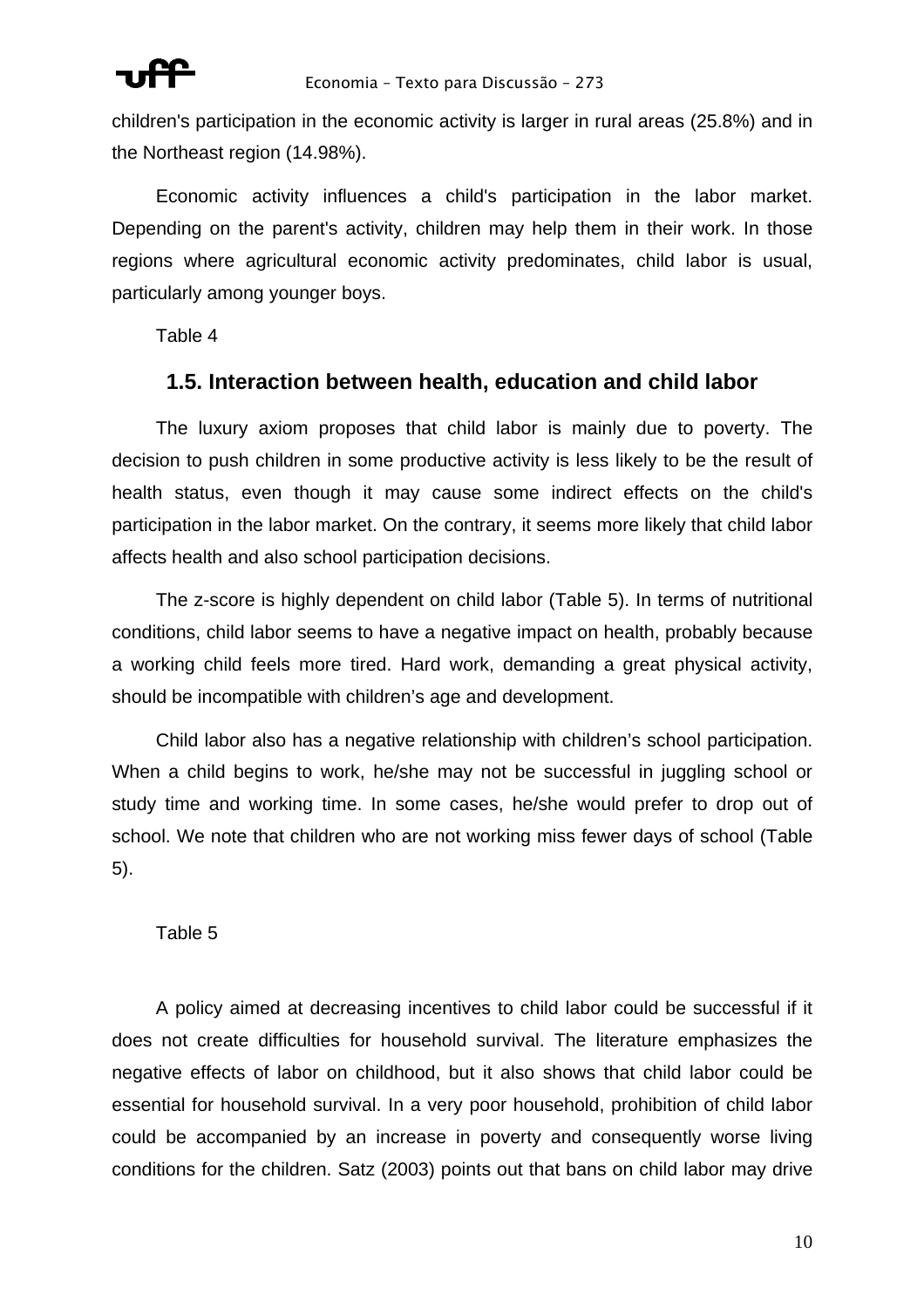

children's participation in the economic activity is larger in rural areas (25.8%) and in the Northeast region (14.98%).

Economic activity influences a child's participation in the labor market. Depending on the parent's activity, children may help them in their work. In those regions where agricultural economic activity predominates, child labor is usual, particularly among younger boys.

Table 4

## **1.5. Interaction between health, education and child labor**

The luxury axiom proposes that child labor is mainly due to poverty. The decision to push children in some productive activity is less likely to be the result of health status, even though it may cause some indirect effects on the child's participation in the labor market. On the contrary, it seems more likely that child labor affects health and also school participation decisions.

The z-score is highly dependent on child labor (Table 5). In terms of nutritional conditions, child labor seems to have a negative impact on health, probably because a working child feels more tired. Hard work, demanding a great physical activity, should be incompatible with children's age and development.

Child labor also has a negative relationship with children's school participation. When a child begins to work, he/she may not be successful in juggling school or study time and working time. In some cases, he/she would prefer to drop out of school. We note that children who are not working miss fewer days of school (Table 5).

## Table 5

A policy aimed at decreasing incentives to child labor could be successful if it does not create difficulties for household survival. The literature emphasizes the negative effects of labor on childhood, but it also shows that child labor could be essential for household survival. In a very poor household, prohibition of child labor could be accompanied by an increase in poverty and consequently worse living conditions for the children. Satz (2003) points out that bans on child labor may drive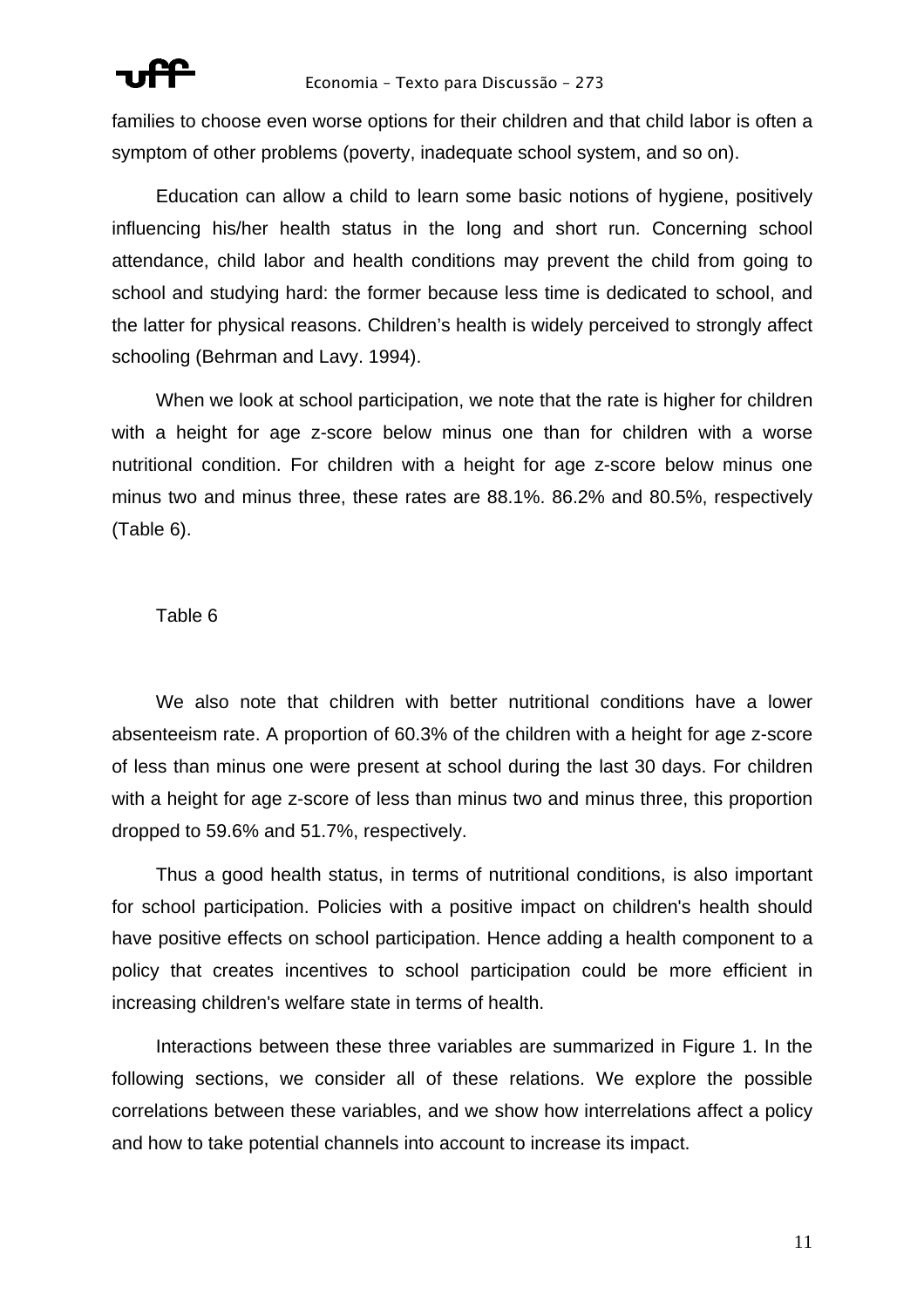

families to choose even worse options for their children and that child labor is often a symptom of other problems (poverty, inadequate school system, and so on).

Education can allow a child to learn some basic notions of hygiene, positively influencing his/her health status in the long and short run. Concerning school attendance, child labor and health conditions may prevent the child from going to school and studying hard: the former because less time is dedicated to school, and the latter for physical reasons. Children's health is widely perceived to strongly affect schooling (Behrman and Lavy. 1994).

When we look at school participation, we note that the rate is higher for children with a height for age z-score below minus one than for children with a worse nutritional condition. For children with a height for age z-score below minus one minus two and minus three, these rates are 88.1%. 86.2% and 80.5%, respectively (Table 6).

### Table 6

We also note that children with better nutritional conditions have a lower absenteeism rate. A proportion of 60.3% of the children with a height for age z-score of less than minus one were present at school during the last 30 days. For children with a height for age z-score of less than minus two and minus three, this proportion dropped to 59.6% and 51.7%, respectively.

Thus a good health status, in terms of nutritional conditions, is also important for school participation. Policies with a positive impact on children's health should have positive effects on school participation. Hence adding a health component to a policy that creates incentives to school participation could be more efficient in increasing children's welfare state in terms of health.

Interactions between these three variables are summarized in Figure 1. In the following sections, we consider all of these relations. We explore the possible correlations between these variables, and we show how interrelations affect a policy and how to take potential channels into account to increase its impact.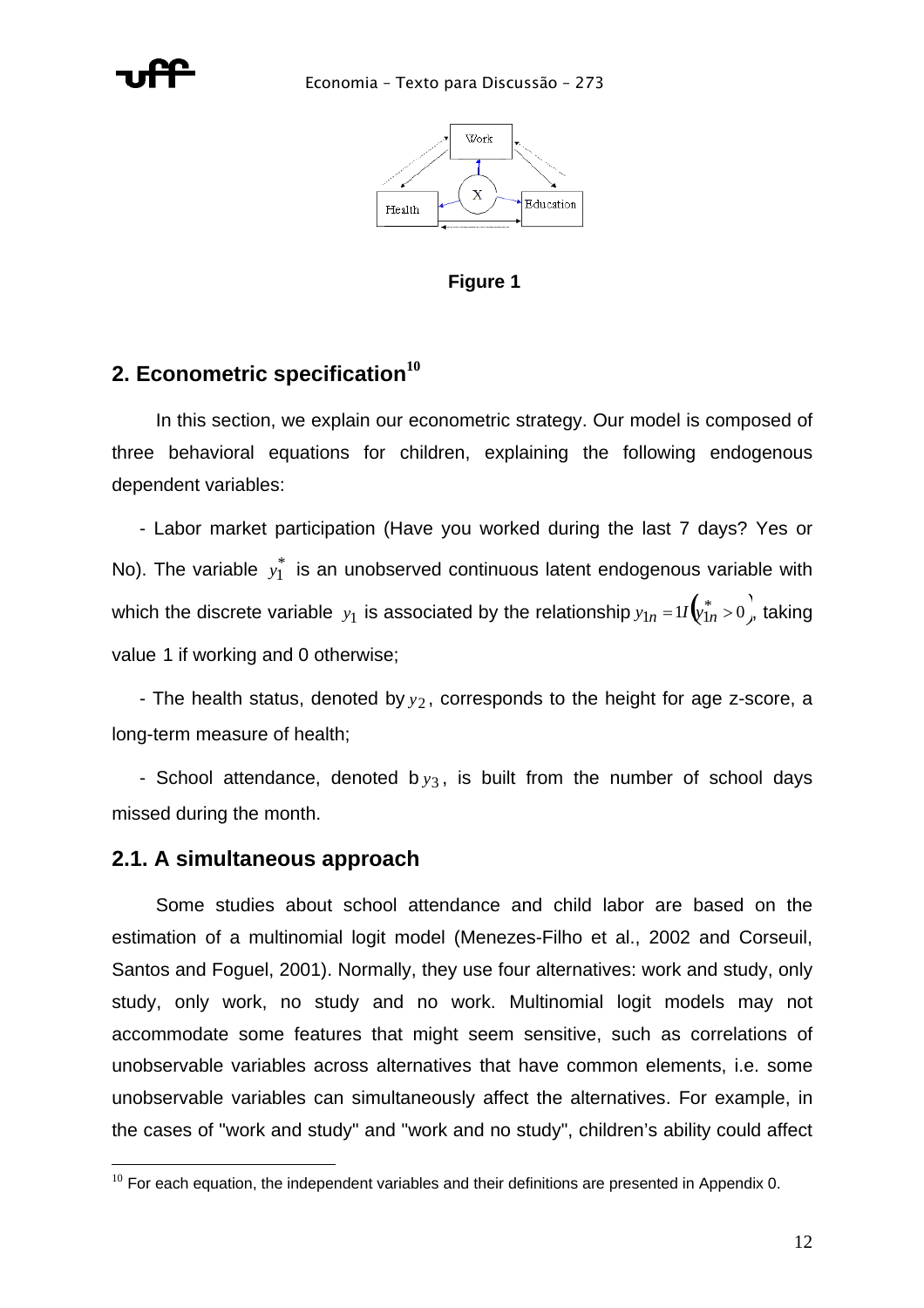



**Figure 1** 

## **2. Econometric specification<sup>10</sup>**

In this section, we explain our econometric strategy. Our model is composed of three behavioral equations for children, explaining the following endogenous dependent variables:

- Labor market participation (Have you worked during the last 7 days? Yes or No). The variable  $y_1^*$  is an unobserved continuous latent endogenous variable with which the discrete variable  $y_1$  is associated by the relationship  $y_{1n}$  =1/ $\left(\!\!\begin{array}{c} \ast \\[-1mm] y_{1n}^* > 0\end{array}\!\!\right)$ , taking value 1 if working and 0 otherwise;

- The health status, denoted by  $y_2$ , corresponds to the height for age z-score, a long-term measure of health;

- School attendance, denoted b  $y_3$ , is built from the number of school days missed during the month.

## **2.1. A simultaneous approach**

 $\overline{a}$ 

Some studies about school attendance and child labor are based on the estimation of a multinomial logit model (Menezes-Filho et al., 2002 and Corseuil, Santos and Foguel, 2001). Normally, they use four alternatives: work and study, only study, only work, no study and no work. Multinomial logit models may not accommodate some features that might seem sensitive, such as correlations of unobservable variables across alternatives that have common elements, i.e. some unobservable variables can simultaneously affect the alternatives. For example, in the cases of "work and study" and "work and no study", children's ability could affect

 $10$  For each equation, the independent variables and their definitions are presented in Appendix 0.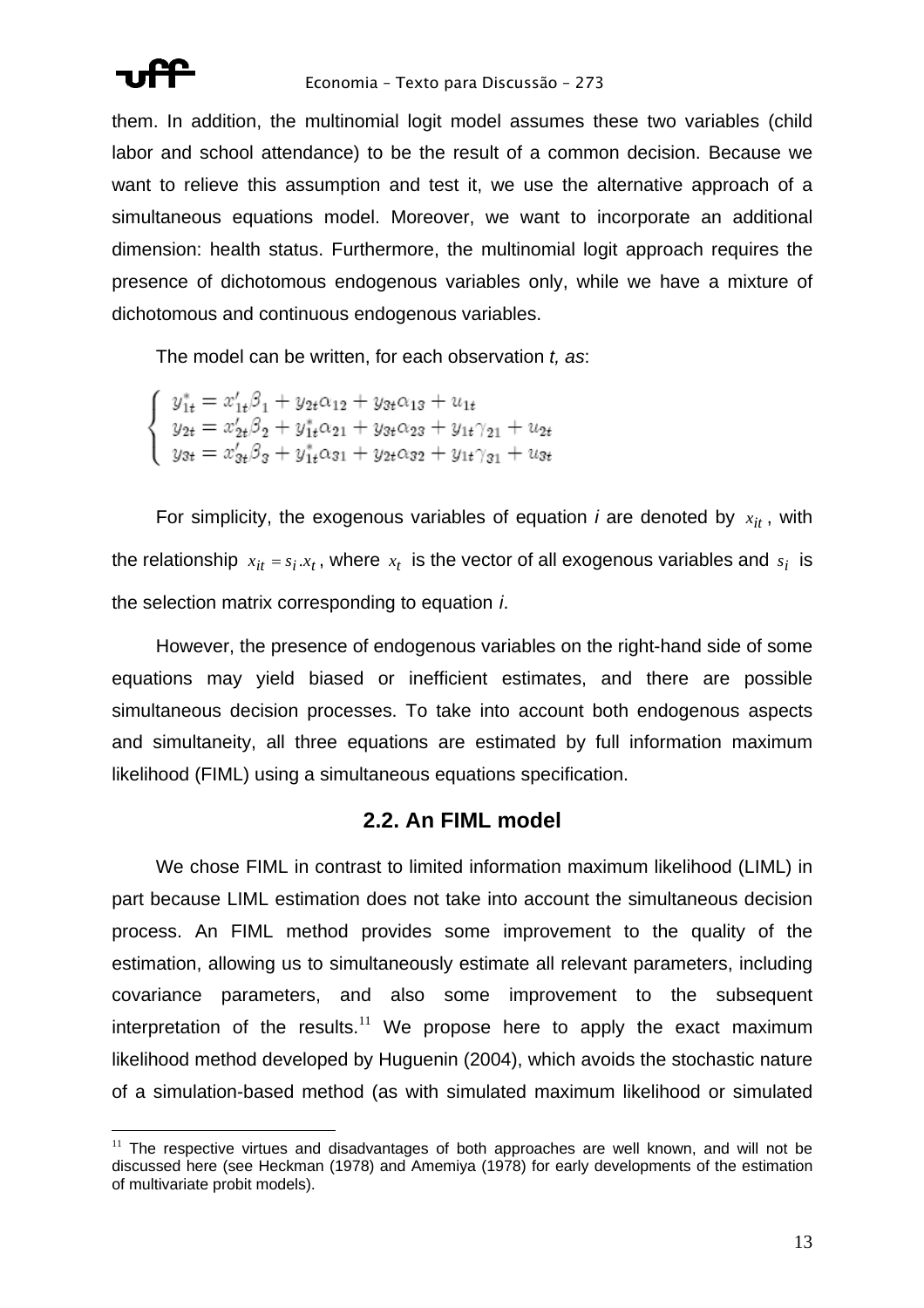

them. In addition, the multinomial logit model assumes these two variables (child labor and school attendance) to be the result of a common decision. Because we want to relieve this assumption and test it, we use the alternative approach of a simultaneous equations model. Moreover, we want to incorporate an additional dimension: health status. Furthermore, the multinomial logit approach requires the presence of dichotomous endogenous variables only, while we have a mixture of dichotomous and continuous endogenous variables.

The model can be written, for each observation *t, as*:

 $\label{eq:2.1} \left\{ \begin{array}{l} y_{1t}^{*}=x_{1t}'\beta_{1}+y_{2t}\alpha_{12}+y_{3t}\alpha_{13}+u_{1t}\\ y_{2t}=x_{2t}'\beta_{2}+y_{1t}^{*}\alpha_{21}+y_{3t}\alpha_{23}+y_{1t}\gamma_{21}+u_{2t}\\ y_{3t}=x_{3t}'\beta_{3}+y_{1t}^{*}\alpha_{31}+y_{2t}\alpha_{32}+y_{1t}\gamma_{31}+u_{3t} \end{array} \right.$ 

For simplicity, the exogenous variables of equation *i* are denoted by  $x_{it}$ , with the relationship  $x_{it} = s_i.x_t$ , where  $x_t$  is the vector of all exogenous variables and  $s_i$  is the selection matrix corresponding to equation *i*.

However, the presence of endogenous variables on the right-hand side of some equations may yield biased or inefficient estimates, and there are possible simultaneous decision processes. To take into account both endogenous aspects and simultaneity, all three equations are estimated by full information maximum likelihood (FIML) using a simultaneous equations specification.

## **2.2. An FIML model**

We chose FIML in contrast to limited information maximum likelihood (LIML) in part because LIML estimation does not take into account the simultaneous decision process. An FIML method provides some improvement to the quality of the estimation, allowing us to simultaneously estimate all relevant parameters, including covariance parameters, and also some improvement to the subsequent interpretation of the results. $11$  We propose here to apply the exact maximum likelihood method developed by Huguenin (2004), which avoids the stochastic nature of a simulation-based method (as with simulated maximum likelihood or simulated

 $\overline{a}$  $11$  The respective virtues and disadvantages of both approaches are well known, and will not be discussed here (see Heckman (1978) and Amemiya (1978) for early developments of the estimation of multivariate probit models).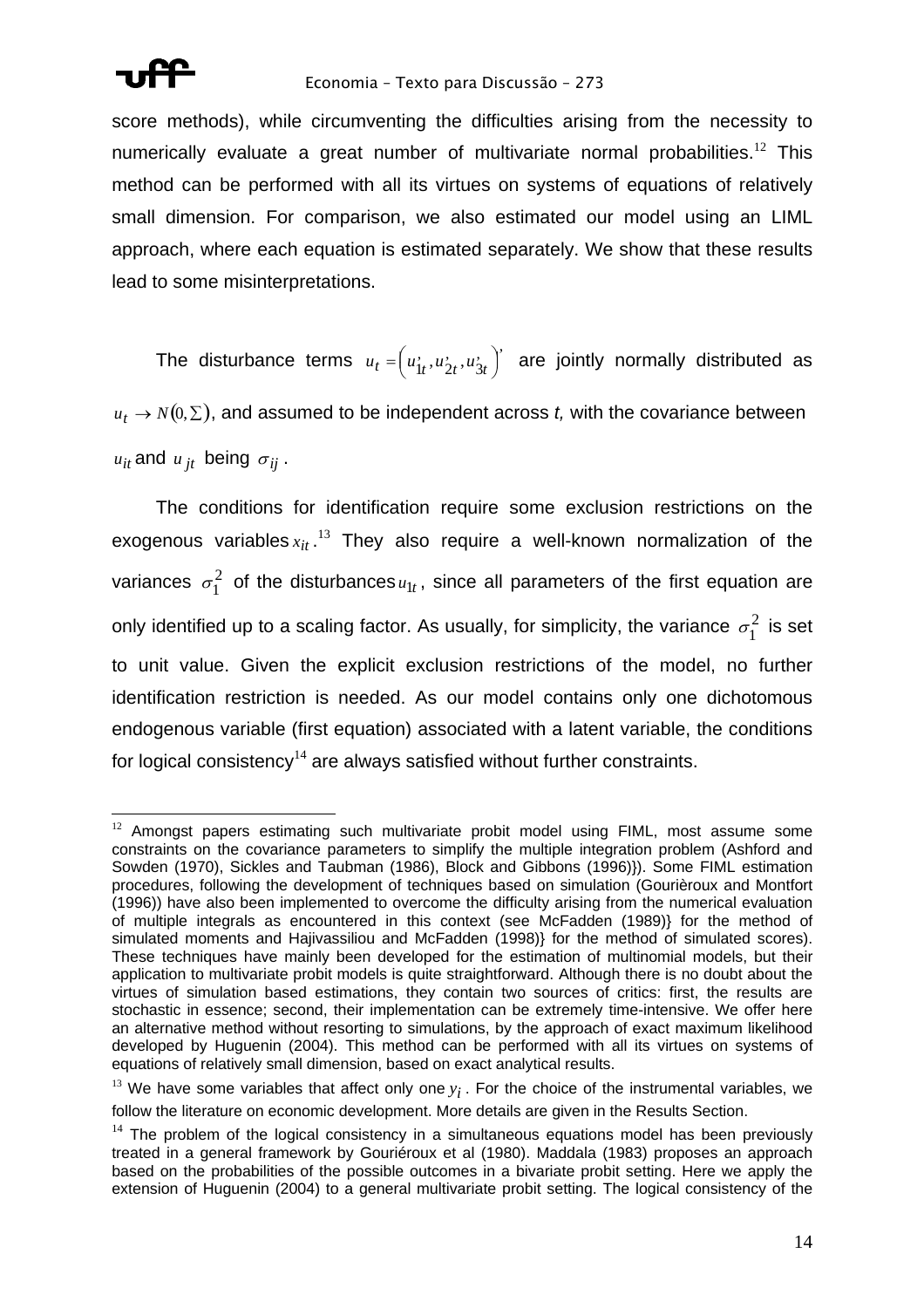

score methods), while circumventing the difficulties arising from the necessity to numerically evaluate a great number of multivariate normal probabilities.<sup>12</sup> This method can be performed with all its virtues on systems of equations of relatively small dimension. For comparison, we also estimated our model using an LIML approach, where each equation is estimated separately. We show that these results lead to some misinterpretations.

The disturbance terms  $u_t = (u_1^*, u_2^*, u_3^*)$  are jointly normally distributed as  $u_t \to N(0, \Sigma)$ , and assumed to be independent across *t*, with the covariance between 3 , 2  $u_t = \left( u_{1t}^{\prime}, u_{2t}^{\prime}, u_{3t}^{\prime} \right)$ 

 $u_{it}$  and  $u_{jt}$  being  $\sigma_{ij}$ .

The conditions for identification require some exclusion restrictions on the exogenous variables $x_{it}$ .<sup>13</sup> They also require a well-known normalization of the variances  $\sigma_1^2$  of the disturbances  $u_{1t}$ , since all parameters of the first equation are only identified up to a scaling factor. As usually, for simplicity, the variance  $\, \sigma_1^2 \,$  is set to unit value. Given the explicit exclusion restrictions of the model, no further identification restriction is needed. As our model contains only one dichotomous endogenous variable (first equation) associated with a latent variable, the conditions for logical consistency<sup>14</sup> are always satisfied without further constraints.

 $\overline{a}$  $12$  Amongst papers estimating such multivariate probit model using FIML, most assume some constraints on the covariance parameters to simplify the multiple integration problem (Ashford and Sowden (1970), Sickles and Taubman (1986), Block and Gibbons (1996)}). Some FIML estimation procedures, following the development of techniques based on simulation (Gourièroux and Montfort (1996)) have also been implemented to overcome the difficulty arising from the numerical evaluation of multiple integrals as encountered in this context (see McFadden (1989)} for the method of simulated moments and Hajivassiliou and McFadden (1998)} for the method of simulated scores). These techniques have mainly been developed for the estimation of multinomial models, but their application to multivariate probit models is quite straightforward. Although there is no doubt about the virtues of simulation based estimations, they contain two sources of critics: first, the results are stochastic in essence; second, their implementation can be extremely time-intensive. We offer here an alternative method without resorting to simulations, by the approach of exact maximum likelihood developed by Huguenin (2004). This method can be performed with all its virtues on systems of equations of relatively small dimension, based on exact analytical results.

 $^{13}$  We have some variables that affect only one  $y_i$ . For the choice of the instrumental variables, we follow the literature on economic development. More details are given in the Results Section.

 $14$  The problem of the logical consistency in a simultaneous equations model has been previously treated in a general framework by Gouriéroux et al (1980). Maddala (1983) proposes an approach based on the probabilities of the possible outcomes in a bivariate probit setting. Here we apply the extension of Huguenin (2004) to a general multivariate probit setting. The logical consistency of the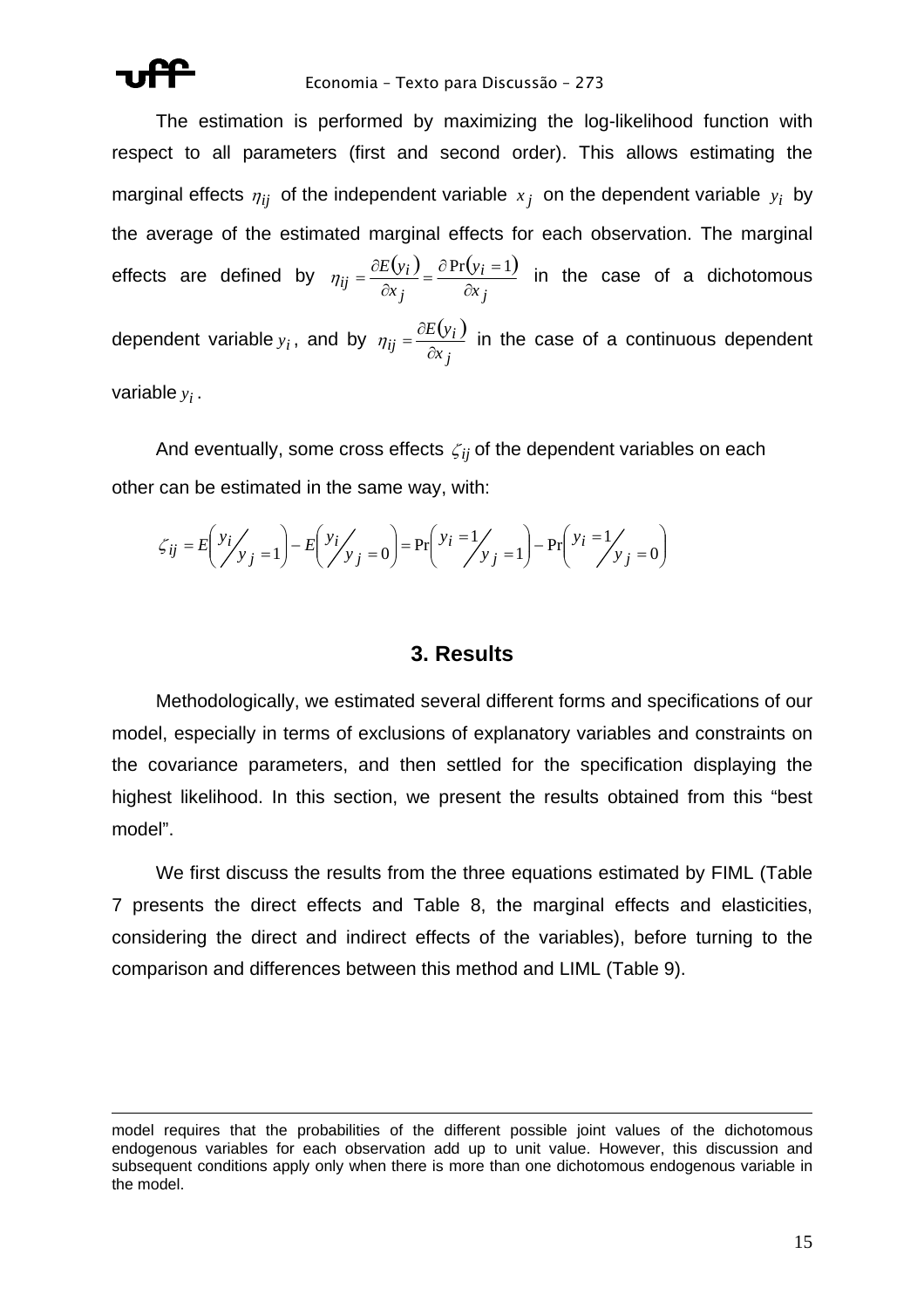

 $\overline{a}$ 

#### Economia – Texto para Discussão – 273

The estimation is performed by maximizing the log-likelihood function with respect to all parameters (first and second order). This allows estimating the marginal effects  $\eta_{ij}$  of the independent variable  $x_j$  on the dependent variable  $y_i$  by the average of the estimated marginal effects for each observation. The marginal effects are defined by  $\eta_{ii} = \frac{\partial E(y_i)}{\partial x_i} = \frac{\partial P(r(y_i = 1))}{\partial x_i}$ *j i j*  $i j = \frac{\partial E(y_i)}{\partial x_i} = \frac{\partial Pr(y_i)}{\partial x_i}$ *y x E y*  $\eta_{ij} = \frac{\partial E(y_i)}{\partial x_j} = \frac{\partial Pr(y_i = 1)}{\partial x_j}$  in the case of a dichotomous dependent variable  $y_i$ , and by  $\eta_{ij} = \frac{\partial E(y_i)}{\partial x_i}$ *j*  $ij = \frac{\partial E(y_i)}{\partial x_i}$ *E y* ∂  $\eta_{ii} = \frac{\partial E(y_i)}{\partial \eta_{ii}}$  in the case of a continuous dependent variable  $y_i$ .

And eventually, some cross effects  $\zeta_{ij}$  of the dependent variables on each other can be estimated in the same way, with:

$$
\zeta_{ij} = E\left(\frac{y_i}{y_j}\right) - E\left(\frac{y_i}{y_j}\right) = Pr\left(\frac{y_i}{y_j}\right) = 0
$$
\n
$$
Pr\left(\frac{y_i - 1}{y_j}\right) - Pr\left(\frac{y_i - 1}{y_j}\right) = 0
$$

### **3. Results**

Methodologically, we estimated several different forms and specifications of our model, especially in terms of exclusions of explanatory variables and constraints on the covariance parameters, and then settled for the specification displaying the highest likelihood. In this section, we present the results obtained from this "best model".

We first discuss the results from the three equations estimated by FIML (Table 7 presents the direct effects and Table 8, the marginal effects and elasticities, considering the direct and indirect effects of the variables), before turning to the comparison and differences between this method and LIML (Table 9).

model requires that the probabilities of the different possible joint values of the dichotomous endogenous variables for each observation add up to unit value. However, this discussion and subsequent conditions apply only when there is more than one dichotomous endogenous variable in the model.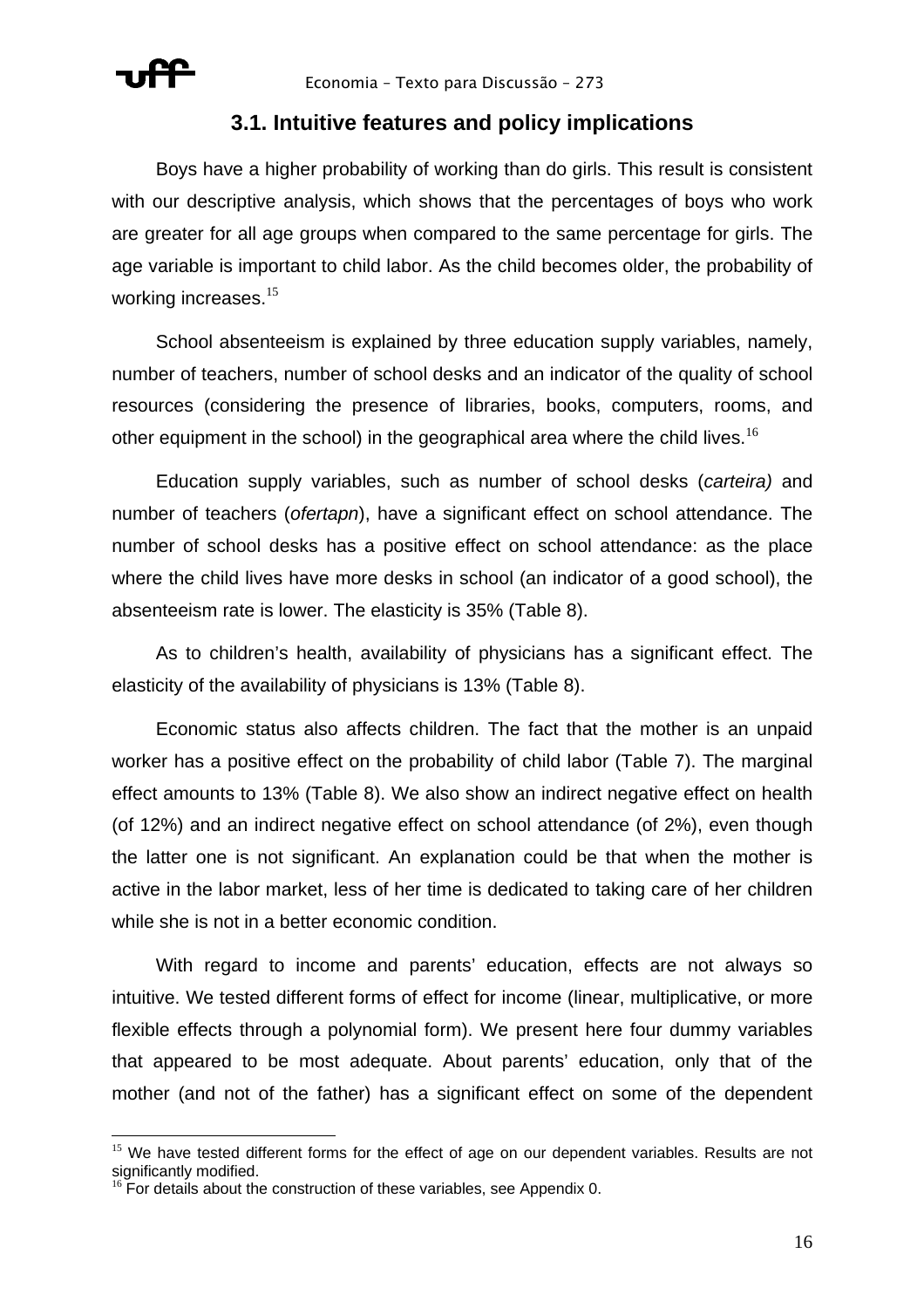

 $\overline{a}$ 

## **3.1. Intuitive features and policy implications**

Boys have a higher probability of working than do girls. This result is consistent with our descriptive analysis, which shows that the percentages of boys who work are greater for all age groups when compared to the same percentage for girls. The age variable is important to child labor. As the child becomes older, the probability of working increases.<sup>15</sup>

School absenteeism is explained by three education supply variables, namely, number of teachers, number of school desks and an indicator of the quality of school resources (considering the presence of libraries, books, computers, rooms, and other equipment in the school) in the geographical area where the child lives.<sup>16</sup>

Education supply variables, such as number of school desks (*carteira)* and number of teachers (*ofertapn*), have a significant effect on school attendance. The number of school desks has a positive effect on school attendance: as the place where the child lives have more desks in school (an indicator of a good school), the absenteeism rate is lower. The elasticity is 35% (Table 8).

As to children's health, availability of physicians has a significant effect. The elasticity of the availability of physicians is 13% (Table 8).

Economic status also affects children. The fact that the mother is an unpaid worker has a positive effect on the probability of child labor (Table 7). The marginal effect amounts to 13% (Table 8). We also show an indirect negative effect on health (of 12%) and an indirect negative effect on school attendance (of 2%), even though the latter one is not significant. An explanation could be that when the mother is active in the labor market, less of her time is dedicated to taking care of her children while she is not in a better economic condition.

With regard to income and parents' education, effects are not always so intuitive. We tested different forms of effect for income (linear, multiplicative, or more flexible effects through a polynomial form). We present here four dummy variables that appeared to be most adequate. About parents' education, only that of the mother (and not of the father) has a significant effect on some of the dependent

<sup>&</sup>lt;sup>15</sup> We have tested different forms for the effect of age on our dependent variables. Results are not significantly modified.<br><sup>16</sup> For details about the construction of these variables, see Appendix 0.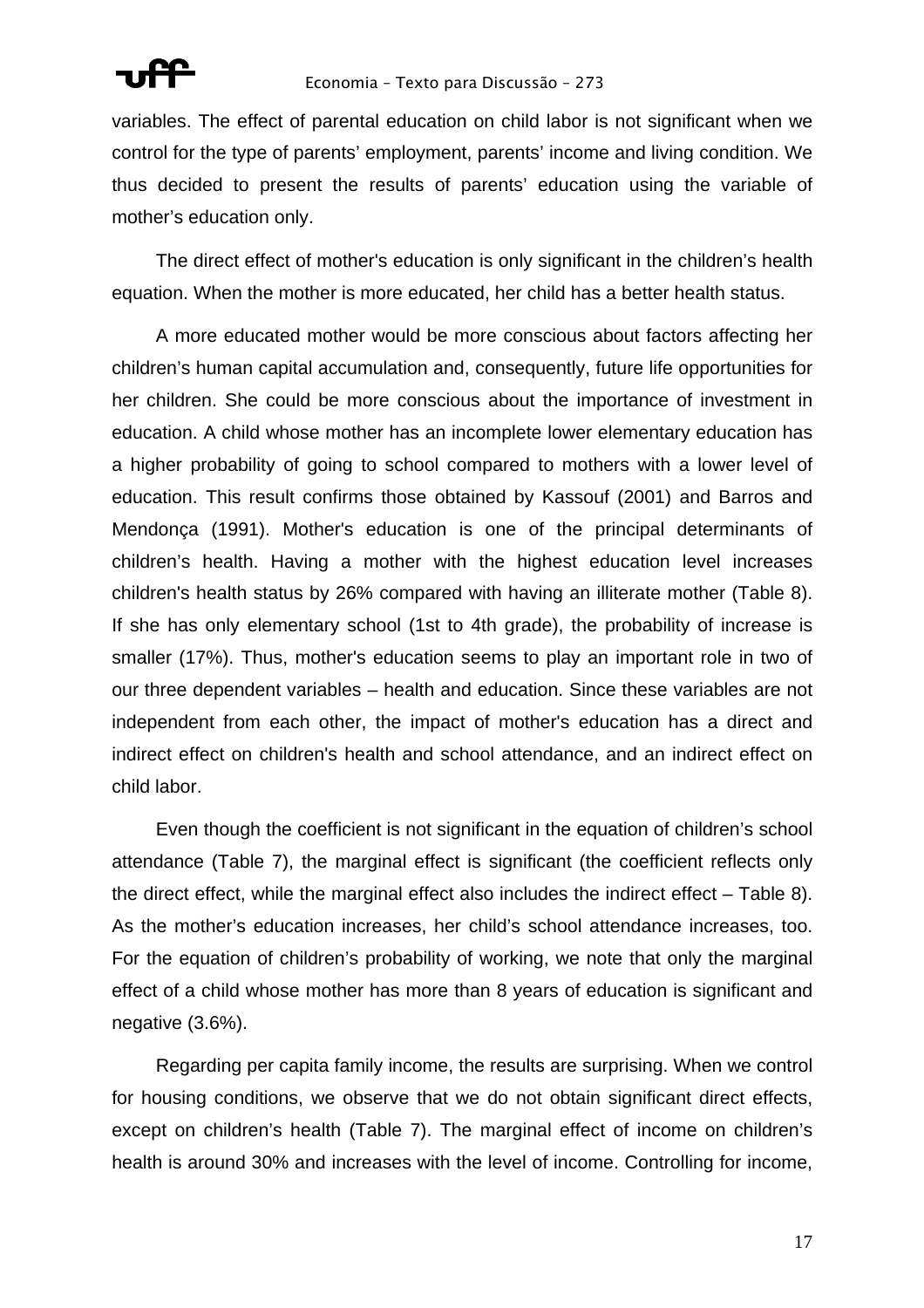

variables. The effect of parental education on child labor is not significant when we control for the type of parents' employment, parents' income and living condition. We thus decided to present the results of parents' education using the variable of mother's education only.

The direct effect of mother's education is only significant in the children's health equation. When the mother is more educated, her child has a better health status.

A more educated mother would be more conscious about factors affecting her children's human capital accumulation and, consequently, future life opportunities for her children. She could be more conscious about the importance of investment in education. A child whose mother has an incomplete lower elementary education has a higher probability of going to school compared to mothers with a lower level of education. This result confirms those obtained by Kassouf (2001) and Barros and Mendonça (1991). Mother's education is one of the principal determinants of children's health. Having a mother with the highest education level increases children's health status by 26% compared with having an illiterate mother (Table 8). If she has only elementary school (1st to 4th grade), the probability of increase is smaller (17%). Thus, mother's education seems to play an important role in two of our three dependent variables – health and education. Since these variables are not independent from each other, the impact of mother's education has a direct and indirect effect on children's health and school attendance, and an indirect effect on child labor.

Even though the coefficient is not significant in the equation of children's school attendance (Table 7), the marginal effect is significant (the coefficient reflects only the direct effect, while the marginal effect also includes the indirect effect – Table 8). As the mother's education increases, her child's school attendance increases, too. For the equation of children's probability of working, we note that only the marginal effect of a child whose mother has more than 8 years of education is significant and negative (3.6%).

Regarding per capita family income, the results are surprising. When we control for housing conditions, we observe that we do not obtain significant direct effects, except on children's health (Table 7). The marginal effect of income on children's health is around 30% and increases with the level of income. Controlling for income,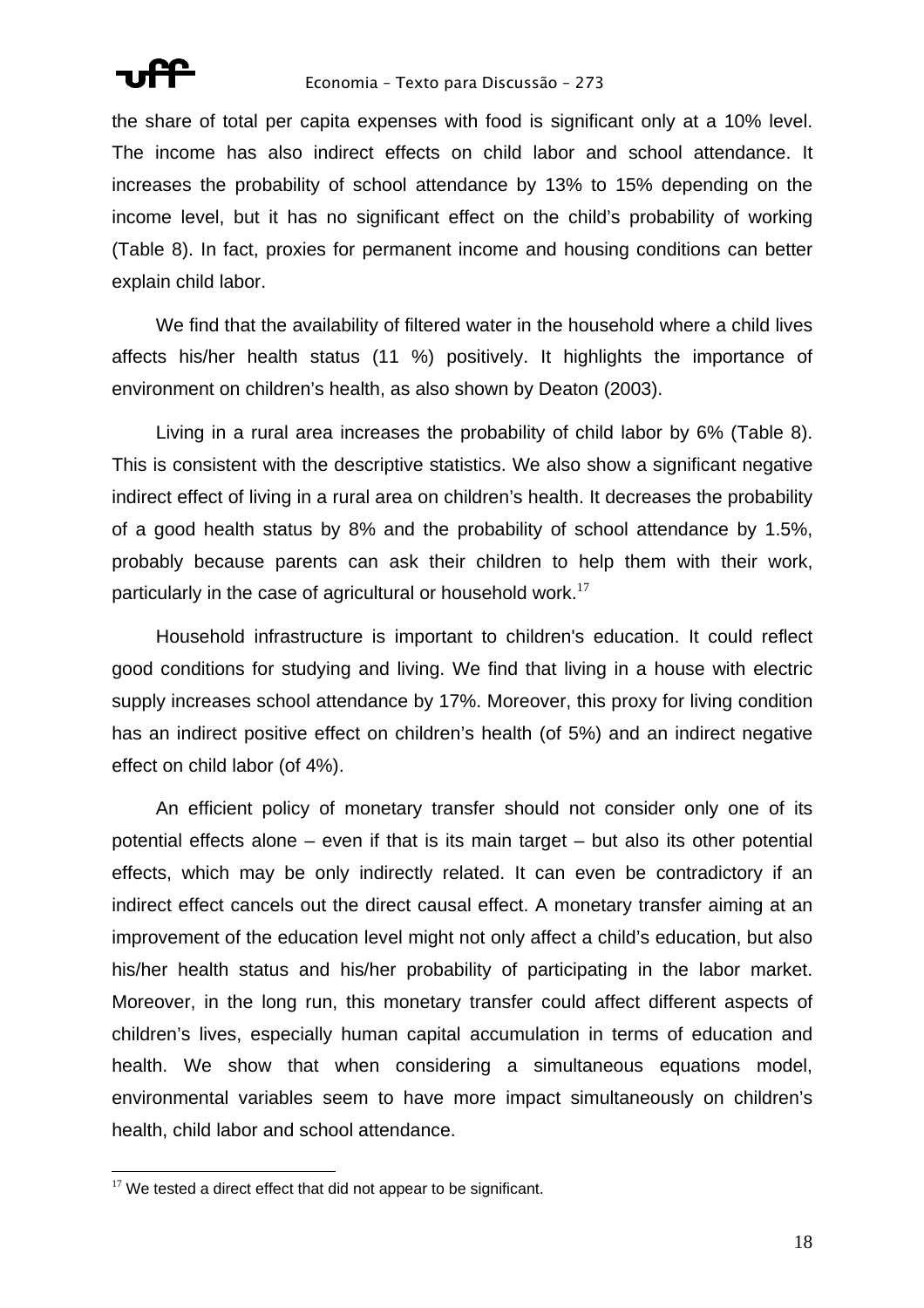

the share of total per capita expenses with food is significant only at a 10% level. The income has also indirect effects on child labor and school attendance. It increases the probability of school attendance by 13% to 15% depending on the income level, but it has no significant effect on the child's probability of working (Table 8). In fact, proxies for permanent income and housing conditions can better explain child labor.

We find that the availability of filtered water in the household where a child lives affects his/her health status (11 %) positively. It highlights the importance of environment on children's health, as also shown by Deaton (2003).

Living in a rural area increases the probability of child labor by 6% (Table 8). This is consistent with the descriptive statistics. We also show a significant negative indirect effect of living in a rural area on children's health. It decreases the probability of a good health status by 8% and the probability of school attendance by 1.5%, probably because parents can ask their children to help them with their work, particularly in the case of agricultural or household work. $17$ 

Household infrastructure is important to children's education. It could reflect good conditions for studying and living. We find that living in a house with electric supply increases school attendance by 17%. Moreover, this proxy for living condition has an indirect positive effect on children's health (of 5%) and an indirect negative effect on child labor (of 4%).

An efficient policy of monetary transfer should not consider only one of its potential effects alone – even if that is its main target – but also its other potential effects, which may be only indirectly related. It can even be contradictory if an indirect effect cancels out the direct causal effect. A monetary transfer aiming at an improvement of the education level might not only affect a child's education, but also his/her health status and his/her probability of participating in the labor market. Moreover, in the long run, this monetary transfer could affect different aspects of children's lives, especially human capital accumulation in terms of education and health. We show that when considering a simultaneous equations model, environmental variables seem to have more impact simultaneously on children's health, child labor and school attendance.

 $\overline{a}$  $17$  We tested a direct effect that did not appear to be significant.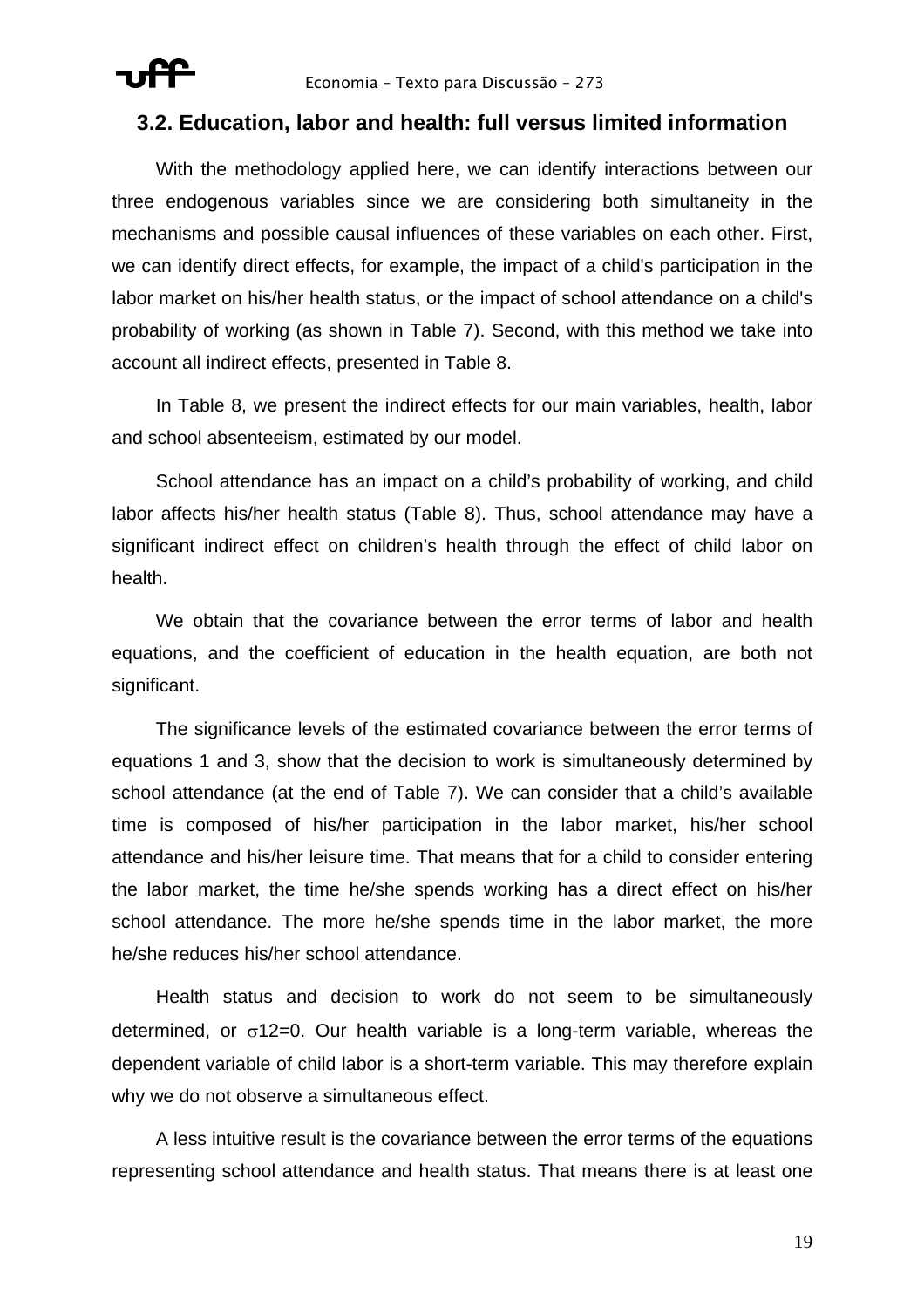

## **3.2. Education, labor and health: full versus limited information**

With the methodology applied here, we can identify interactions between our three endogenous variables since we are considering both simultaneity in the mechanisms and possible causal influences of these variables on each other. First, we can identify direct effects, for example, the impact of a child's participation in the labor market on his/her health status, or the impact of school attendance on a child's probability of working (as shown in Table 7). Second, with this method we take into account all indirect effects, presented in Table 8.

In Table 8, we present the indirect effects for our main variables, health, labor and school absenteeism, estimated by our model.

School attendance has an impact on a child's probability of working, and child labor affects his/her health status (Table 8). Thus, school attendance may have a significant indirect effect on children's health through the effect of child labor on health.

We obtain that the covariance between the error terms of labor and health equations, and the coefficient of education in the health equation, are both not significant.

The significance levels of the estimated covariance between the error terms of equations 1 and 3, show that the decision to work is simultaneously determined by school attendance (at the end of Table 7). We can consider that a child's available time is composed of his/her participation in the labor market, his/her school attendance and his/her leisure time. That means that for a child to consider entering the labor market, the time he/she spends working has a direct effect on his/her school attendance. The more he/she spends time in the labor market, the more he/she reduces his/her school attendance.

Health status and decision to work do not seem to be simultaneously determined, or  $\sigma$ 12=0. Our health variable is a long-term variable, whereas the dependent variable of child labor is a short-term variable. This may therefore explain why we do not observe a simultaneous effect.

A less intuitive result is the covariance between the error terms of the equations representing school attendance and health status. That means there is at least one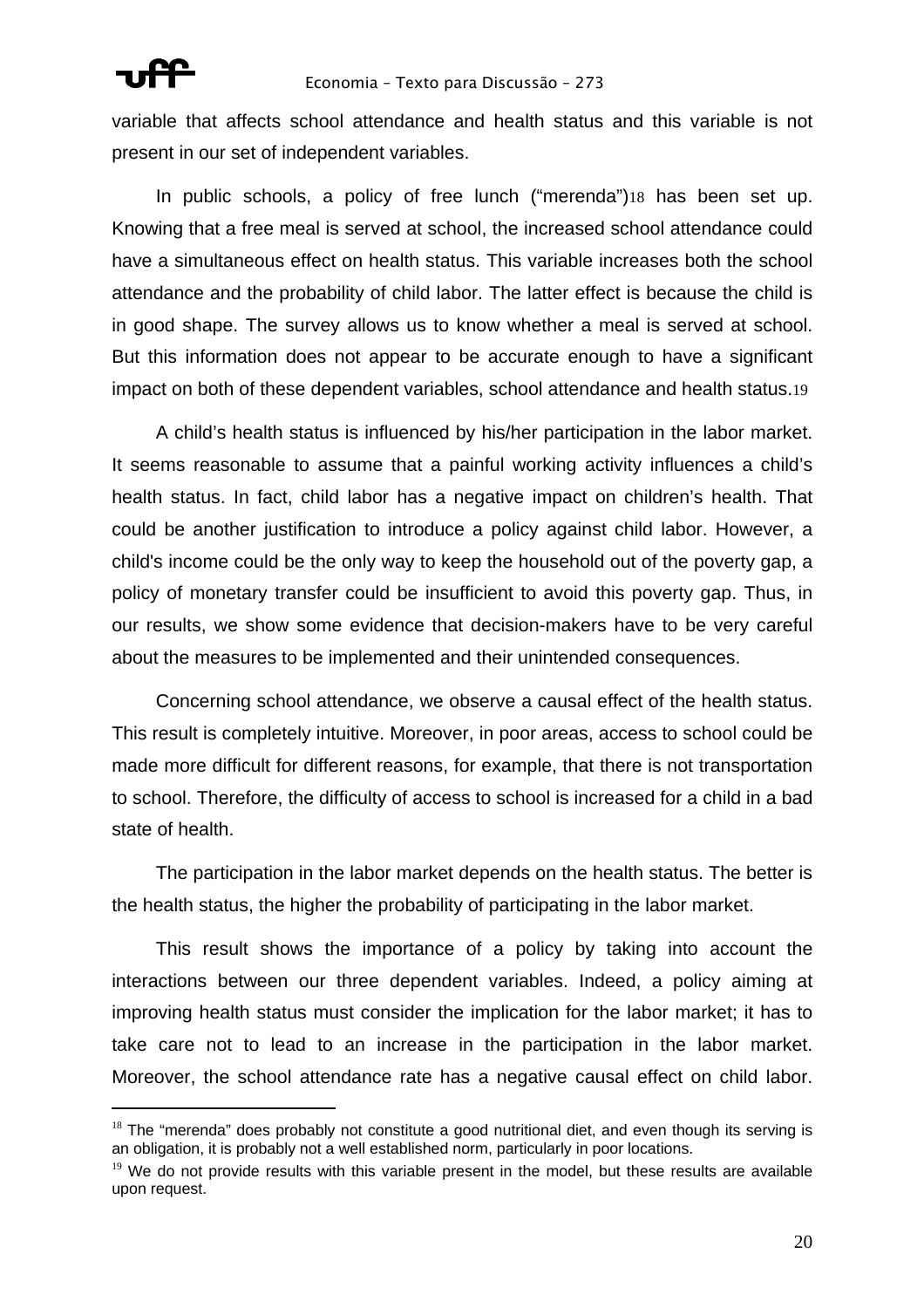

 $\overline{a}$ 

#### Economia – Texto para Discussão – 273

variable that affects school attendance and health status and this variable is not present in our set of independent variables.

In public schools, a policy of free lunch ("merenda")18 has been set up. Knowing that a free meal is served at school, the increased school attendance could have a simultaneous effect on health status. This variable increases both the school attendance and the probability of child labor. The latter effect is because the child is in good shape. The survey allows us to know whether a meal is served at school. But this information does not appear to be accurate enough to have a significant impact on both of these dependent variables, school attendance and health status.19

A child's health status is influenced by his/her participation in the labor market. It seems reasonable to assume that a painful working activity influences a child's health status. In fact, child labor has a negative impact on children's health. That could be another justification to introduce a policy against child labor. However, a child's income could be the only way to keep the household out of the poverty gap, a policy of monetary transfer could be insufficient to avoid this poverty gap. Thus, in our results, we show some evidence that decision-makers have to be very careful about the measures to be implemented and their unintended consequences.

Concerning school attendance, we observe a causal effect of the health status. This result is completely intuitive. Moreover, in poor areas, access to school could be made more difficult for different reasons, for example, that there is not transportation to school. Therefore, the difficulty of access to school is increased for a child in a bad state of health.

The participation in the labor market depends on the health status. The better is the health status, the higher the probability of participating in the labor market.

This result shows the importance of a policy by taking into account the interactions between our three dependent variables. Indeed, a policy aiming at improving health status must consider the implication for the labor market; it has to take care not to lead to an increase in the participation in the labor market. Moreover, the school attendance rate has a negative causal effect on child labor.

 $18$  The "merenda" does probably not constitute a good nutritional diet, and even though its serving is an obligation, it is probably not a well established norm, particularly in poor locations.

 $19$  We do not provide results with this variable present in the model, but these results are available upon request.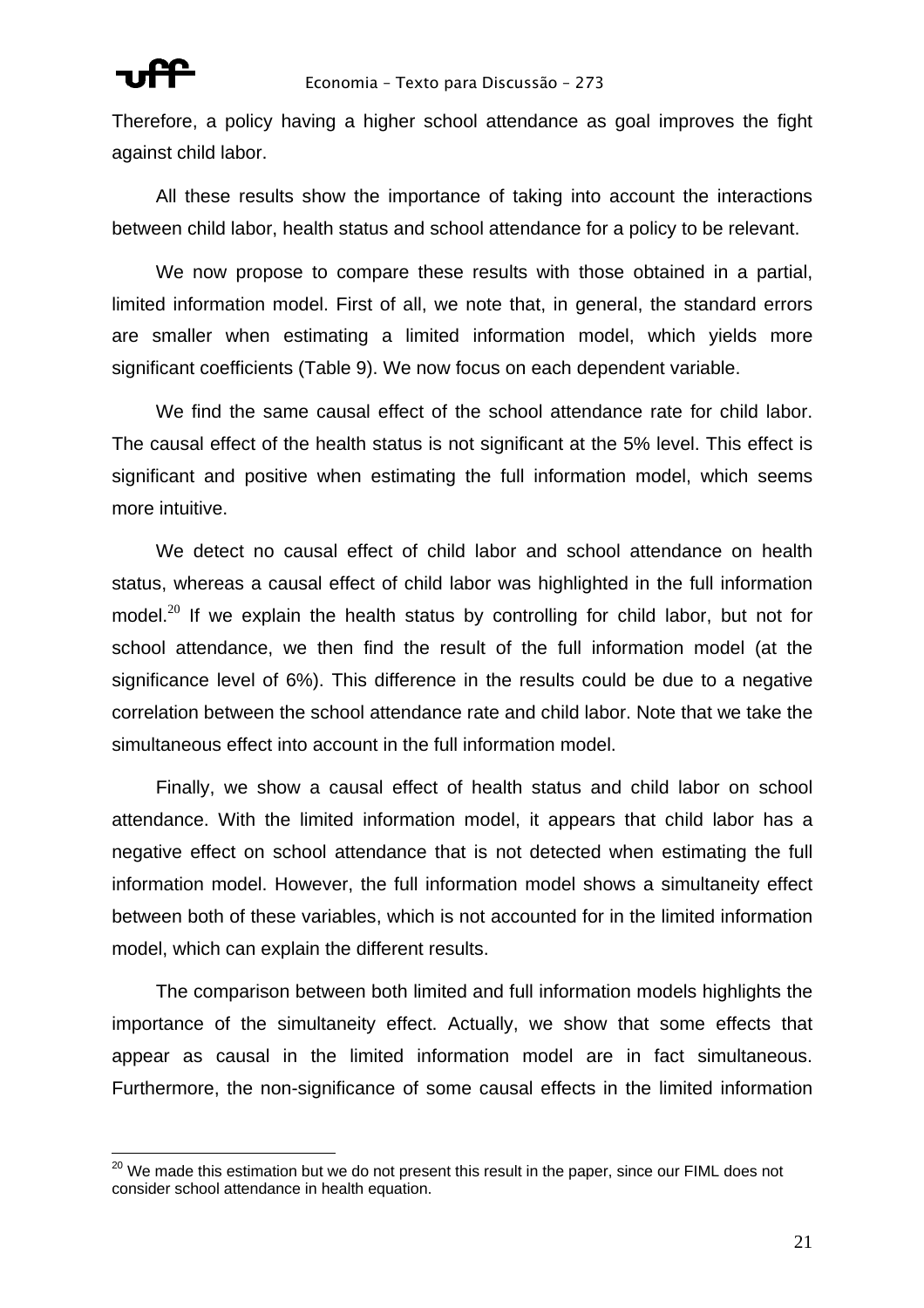$\overline{a}$ 

Therefore, a policy having a higher school attendance as goal improves the fight against child labor.

All these results show the importance of taking into account the interactions between child labor, health status and school attendance for a policy to be relevant.

We now propose to compare these results with those obtained in a partial, limited information model. First of all, we note that, in general, the standard errors are smaller when estimating a limited information model, which yields more significant coefficients (Table 9). We now focus on each dependent variable.

We find the same causal effect of the school attendance rate for child labor. The causal effect of the health status is not significant at the 5% level. This effect is significant and positive when estimating the full information model, which seems more intuitive.

We detect no causal effect of child labor and school attendance on health status, whereas a causal effect of child labor was highlighted in the full information model.<sup>20</sup> If we explain the health status by controlling for child labor, but not for school attendance, we then find the result of the full information model (at the significance level of 6%). This difference in the results could be due to a negative correlation between the school attendance rate and child labor. Note that we take the simultaneous effect into account in the full information model.

Finally, we show a causal effect of health status and child labor on school attendance. With the limited information model, it appears that child labor has a negative effect on school attendance that is not detected when estimating the full information model. However, the full information model shows a simultaneity effect between both of these variables, which is not accounted for in the limited information model, which can explain the different results.

The comparison between both limited and full information models highlights the importance of the simultaneity effect. Actually, we show that some effects that appear as causal in the limited information model are in fact simultaneous. Furthermore, the non-significance of some causal effects in the limited information

 $^{20}$  We made this estimation but we do not present this result in the paper, since our FIML does not consider school attendance in health equation.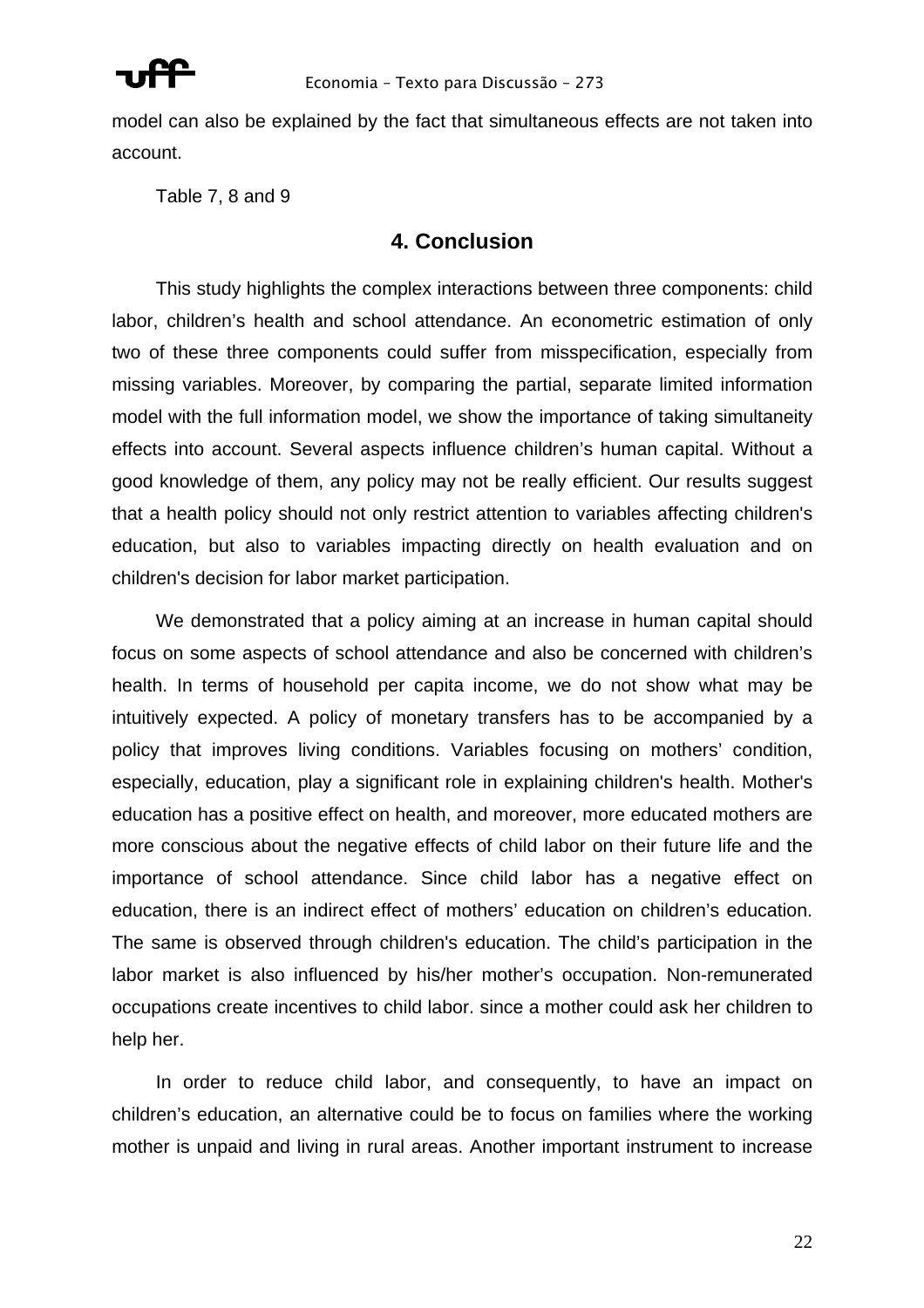

model can also be explained by the fact that simultaneous effects are not taken into account.

Table 7, 8 and 9

## **4. Conclusion**

This study highlights the complex interactions between three components: child labor, children's health and school attendance. An econometric estimation of only two of these three components could suffer from misspecification, especially from missing variables. Moreover, by comparing the partial, separate limited information model with the full information model, we show the importance of taking simultaneity effects into account. Several aspects influence children's human capital. Without a good knowledge of them, any policy may not be really efficient. Our results suggest that a health policy should not only restrict attention to variables affecting children's education, but also to variables impacting directly on health evaluation and on children's decision for labor market participation.

We demonstrated that a policy aiming at an increase in human capital should focus on some aspects of school attendance and also be concerned with children's health. In terms of household per capita income, we do not show what may be intuitively expected. A policy of monetary transfers has to be accompanied by a policy that improves living conditions. Variables focusing on mothers' condition, especially, education, play a significant role in explaining children's health. Mother's education has a positive effect on health, and moreover, more educated mothers are more conscious about the negative effects of child labor on their future life and the importance of school attendance. Since child labor has a negative effect on education, there is an indirect effect of mothers' education on children's education. The same is observed through children's education. The child's participation in the labor market is also influenced by his/her mother's occupation. Non-remunerated occupations create incentives to child labor. since a mother could ask her children to help her.

In order to reduce child labor, and consequently, to have an impact on children's education, an alternative could be to focus on families where the working mother is unpaid and living in rural areas. Another important instrument to increase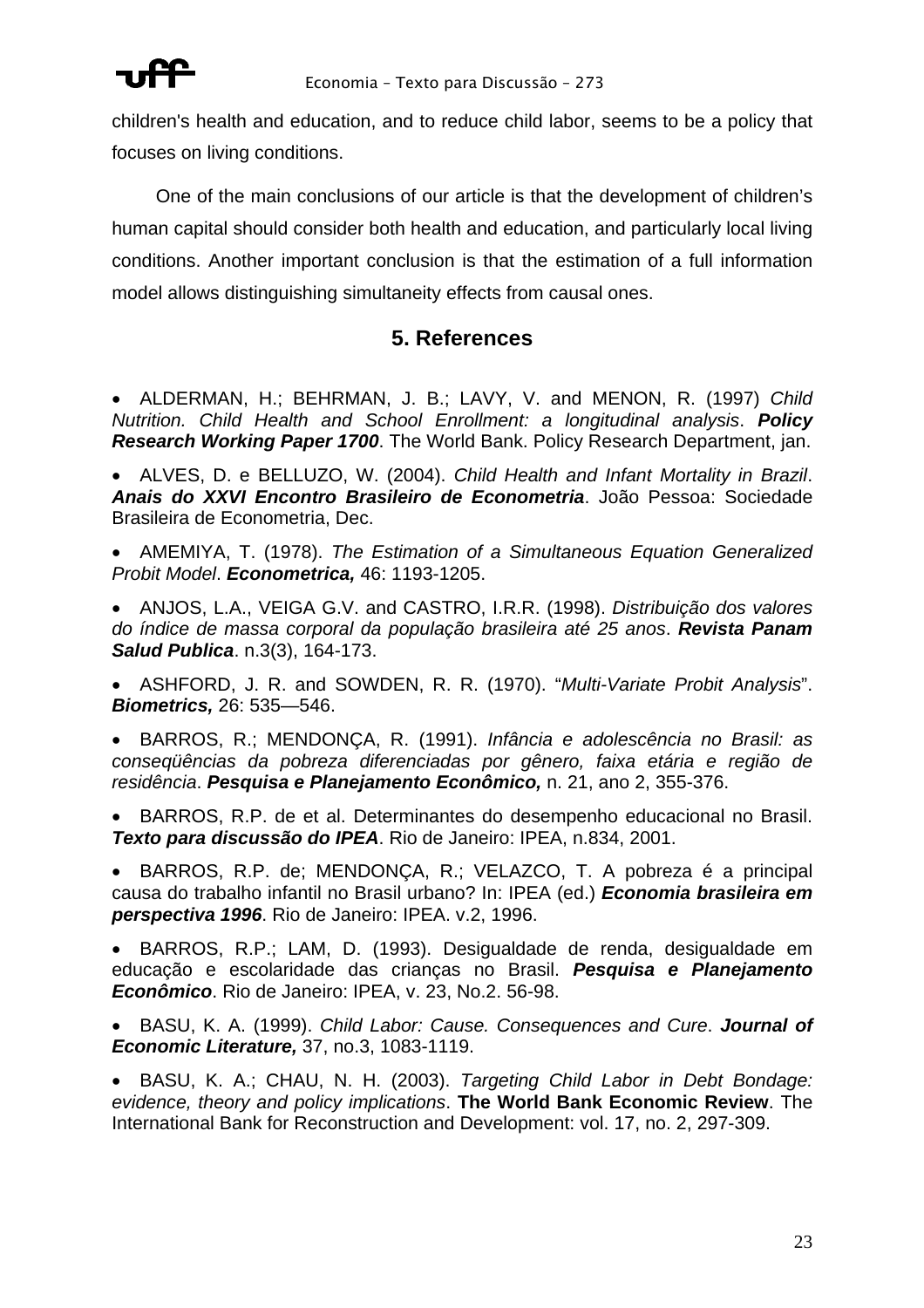

children's health and education, and to reduce child labor, seems to be a policy that focuses on living conditions.

One of the main conclusions of our article is that the development of children's human capital should consider both health and education, and particularly local living conditions. Another important conclusion is that the estimation of a full information model allows distinguishing simultaneity effects from causal ones.

## **5. References**

- ALDERMAN, H.; BEHRMAN, J. B.; LAVY, V. and MENON, R. (1997) *Child Nutrition. Child Health and School Enrollment: a longitudinal analysis*. *Policy Research Working Paper 1700*. The World Bank. Policy Research Department, jan.
- ALVES, D. e BELLUZO, W. (2004). *Child Health and Infant Mortality in Brazil*. *Anais do XXVI Encontro Brasileiro de Econometria*. João Pessoa: Sociedade Brasileira de Econometria, Dec.
- AMEMIYA, T. (1978). *The Estimation of a Simultaneous Equation Generalized Probit Model*. *Econometrica,* 46: 1193-1205.
- ANJOS, L.A., VEIGA G.V. and CASTRO, I.R.R. (1998). *Distribuição dos valores do índice de massa corporal da população brasileira até 25 anos*. *Revista Panam Salud Publica*. n.3(3), 164-173.
- ASHFORD, J. R. and SOWDEN, R. R. (1970). "*Multi-Variate Probit Analysis*". *Biometrics,* 26: 535—546.
- BARROS, R.; MENDONÇA, R. (1991). *Infância e adolescência no Brasil: as conseqüências da pobreza diferenciadas por gênero, faixa etária e região de residência*. *Pesquisa e Planejamento Econômico,* n. 21, ano 2, 355-376.
- BARROS, R.P. de et al. Determinantes do desempenho educacional no Brasil. *Texto para discussão do IPEA*. Rio de Janeiro: IPEA, n.834, 2001.
- BARROS, R.P. de; MENDONÇA, R.; VELAZCO, T. A pobreza é a principal causa do trabalho infantil no Brasil urbano? In: IPEA (ed.) *Economia brasileira em perspectiva 1996*. Rio de Janeiro: IPEA. v.2, 1996.
- BARROS, R.P.; LAM, D. (1993). Desigualdade de renda, desigualdade em educação e escolaridade das crianças no Brasil. *Pesquisa e Planejamento Econômico*. Rio de Janeiro: IPEA, v. 23, No.2. 56-98.
- BASU, K. A. (1999). *Child Labor: Cause. Consequences and Cure*. *Journal of Economic Literature,* 37, no.3, 1083-1119.
- BASU, K. A.; CHAU, N. H. (2003). *Targeting Child Labor in Debt Bondage: evidence, theory and policy implications*. **The World Bank Economic Review**. The International Bank for Reconstruction and Development: vol. 17, no. 2, 297-309.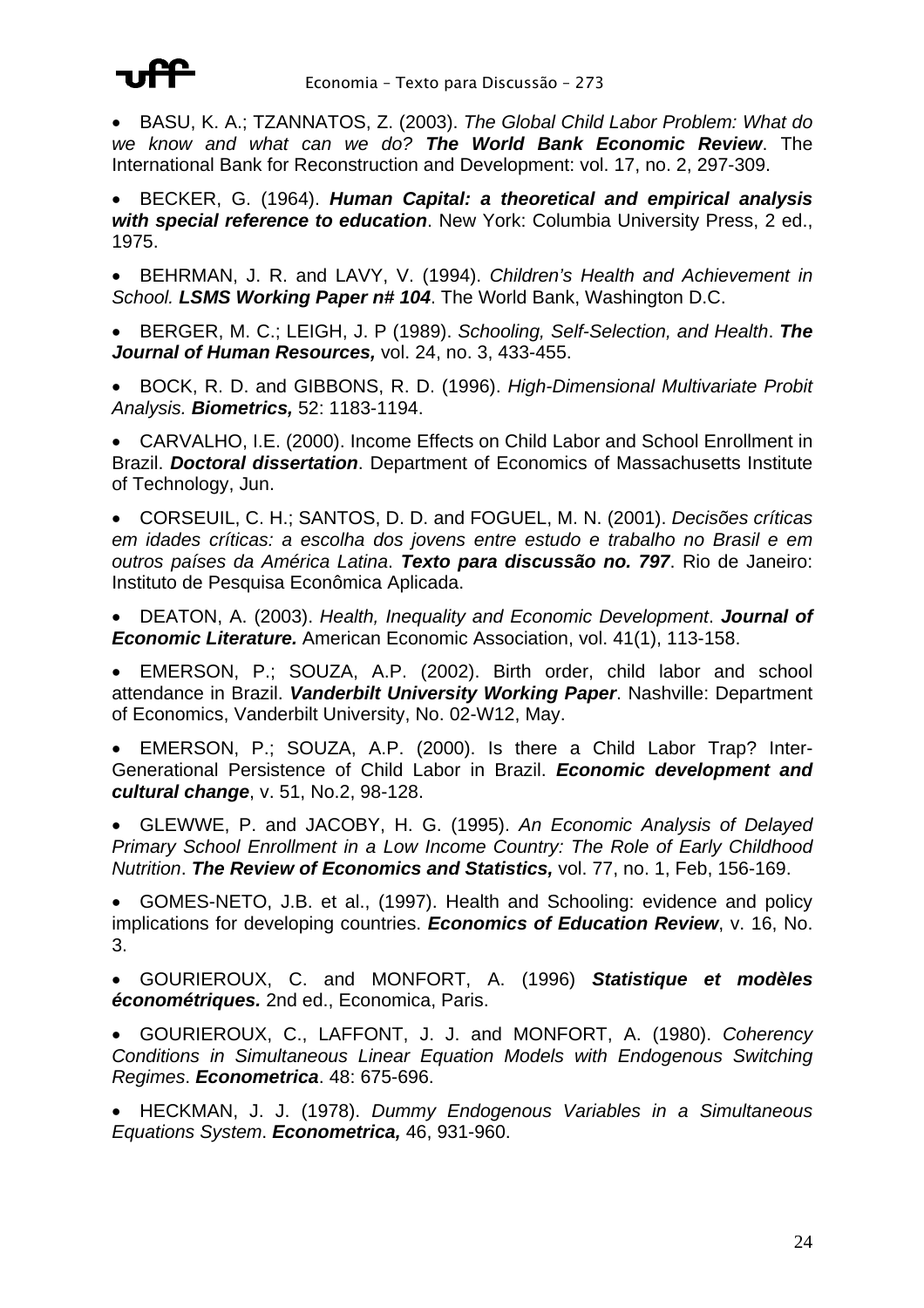

• BASU, K. A.; TZANNATOS, Z. (2003). *The Global Child Labor Problem: What do we know and what can we do? The World Bank Economic Review*. The International Bank for Reconstruction and Development: vol. 17, no. 2, 297-309.

• BECKER, G. (1964). *Human Capital: a theoretical and empirical analysis with special reference to education*. New York: Columbia University Press, 2 ed., 1975.

• BEHRMAN, J. R. and LAVY, V. (1994). *Children's Health and Achievement in School. LSMS Working Paper n# 104*. The World Bank, Washington D.C.

• BERGER, M. C.; LEIGH, J. P (1989). *Schooling, Self-Selection, and Health*. *The Journal of Human Resources,* vol. 24, no. 3, 433-455.

• BOCK, R. D. and GIBBONS, R. D. (1996). *High-Dimensional Multivariate Probit Analysis. Biometrics,* 52: 1183-1194.

• CARVALHO, I.E. (2000). Income Effects on Child Labor and School Enrollment in Brazil. *Doctoral dissertation*. Department of Economics of Massachusetts Institute of Technology, Jun.

• CORSEUIL, C. H.; SANTOS, D. D. and FOGUEL, M. N. (2001). *Decisões críticas em idades críticas: a escolha dos jovens entre estudo e trabalho no Brasil e em outros países da América Latina*. *Texto para discussão no. 797*. Rio de Janeiro: Instituto de Pesquisa Econômica Aplicada.

• DEATON, A. (2003). *Health, Inequality and Economic Development*. *Journal of Economic Literature.* American Economic Association, vol. 41(1), 113-158.

• EMERSON, P.; SOUZA, A.P. (2002). Birth order, child labor and school attendance in Brazil. *Vanderbilt University Working Paper*. Nashville: Department of Economics, Vanderbilt University, No. 02-W12, May.

• EMERSON, P.; SOUZA, A.P. (2000). Is there a Child Labor Trap? Inter-Generational Persistence of Child Labor in Brazil. *Economic development and cultural change*, v. 51, No.2, 98-128.

• GLEWWE, P. and JACOBY, H. G. (1995). *An Economic Analysis of Delayed Primary School Enrollment in a Low Income Country: The Role of Early Childhood Nutrition*. *The Review of Economics and Statistics,* vol. 77, no. 1, Feb, 156-169.

• GOMES-NETO, J.B. et al., (1997). Health and Schooling: evidence and policy implications for developing countries. *Economics of Education Review*, v. 16, No. 3.

• GOURIEROUX, C. and MONFORT, A. (1996) *Statistique et modèles économétriques.* 2nd ed., Economica, Paris.

• GOURIEROUX, C., LAFFONT, J. J. and MONFORT, A. (1980). *Coherency Conditions in Simultaneous Linear Equation Models with Endogenous Switching Regimes*. *Econometrica*. 48: 675-696.

• HECKMAN, J. J. (1978). *Dummy Endogenous Variables in a Simultaneous Equations System*. *Econometrica,* 46, 931-960.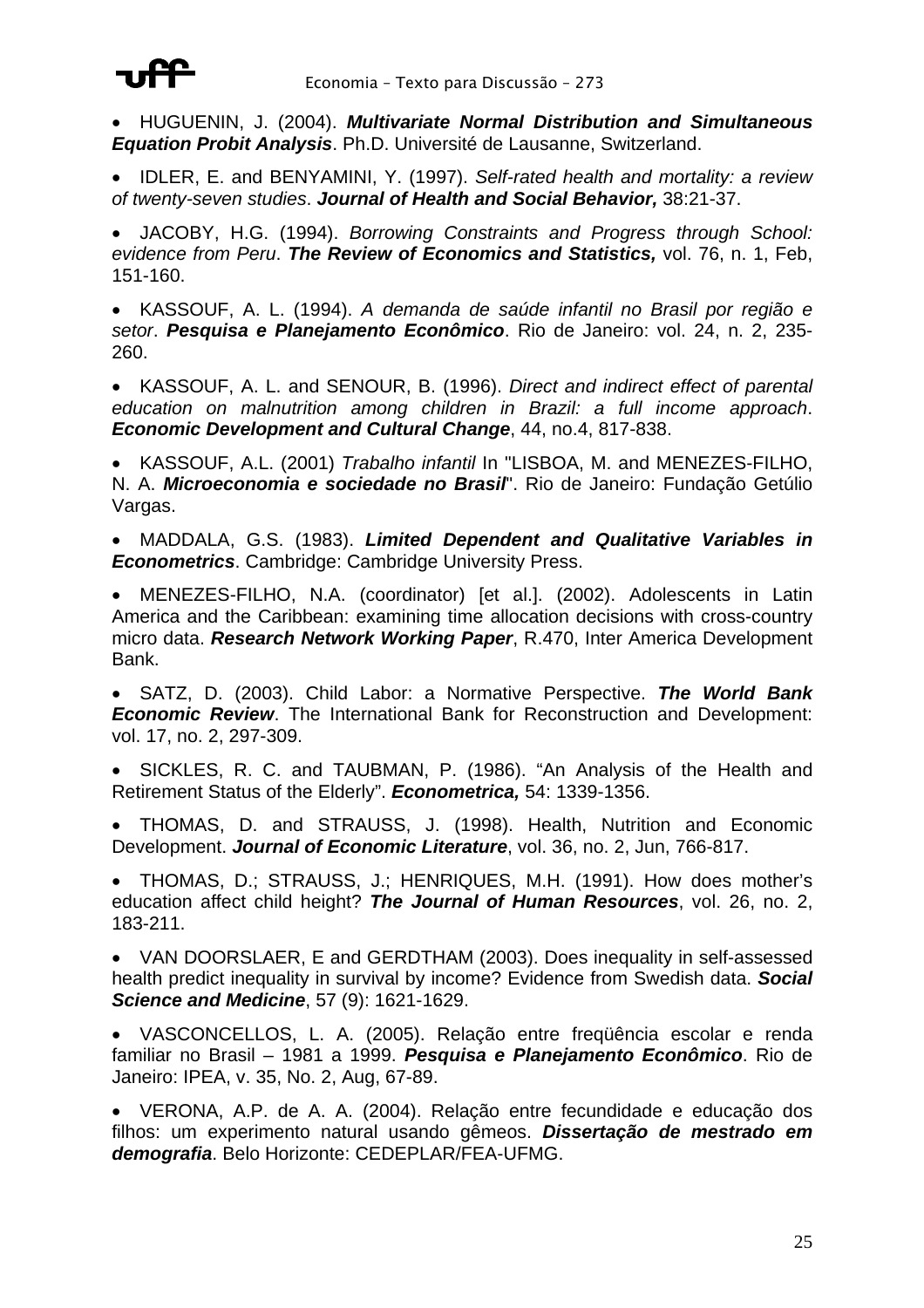

• HUGUENIN, J. (2004). *Multivariate Normal Distribution and Simultaneous Equation Probit Analysis*. Ph.D. Université de Lausanne, Switzerland.

• IDLER, E. and BENYAMINI, Y. (1997). *Self-rated health and mortality: a review of twenty-seven studies*. *Journal of Health and Social Behavior,* 38:21-37.

• JACOBY, H.G. (1994). *Borrowing Constraints and Progress through School: evidence from Peru*. *The Review of Economics and Statistics,* vol. 76, n. 1, Feb, 151-160.

• KASSOUF, A. L. (1994). *A demanda de saúde infantil no Brasil por região e setor*. *Pesquisa e Planejamento Econômico*. Rio de Janeiro: vol. 24, n. 2, 235- 260.

• KASSOUF, A. L. and SENOUR, B. (1996). *Direct and indirect effect of parental education on malnutrition among children in Brazil: a full income approach*. *Economic Development and Cultural Change*, 44, no.4, 817-838.

• KASSOUF, A.L. (2001) *Trabalho infantil* In "LISBOA, M. and MENEZES-FILHO, N. A. *Microeconomia e sociedade no Brasil*". Rio de Janeiro: Fundação Getúlio Vargas.

• MADDALA, G.S. (1983). *Limited Dependent and Qualitative Variables in Econometrics*. Cambridge: Cambridge University Press.

• MENEZES-FILHO, N.A. (coordinator) [et al.]. (2002). Adolescents in Latin America and the Caribbean: examining time allocation decisions with cross-country micro data. *Research Network Working Paper*, R.470, Inter America Development Bank.

• SATZ, D. (2003). Child Labor: a Normative Perspective. *The World Bank Economic Review*. The International Bank for Reconstruction and Development: vol. 17, no. 2, 297-309.

• SICKLES, R. C. and TAUBMAN, P. (1986). "An Analysis of the Health and Retirement Status of the Elderly". *Econometrica,* 54: 1339-1356.

• THOMAS, D. and STRAUSS, J. (1998). Health, Nutrition and Economic Development. *Journal of Economic Literature*, vol. 36, no. 2, Jun, 766-817.

• THOMAS, D.; STRAUSS, J.; HENRIQUES, M.H. (1991). How does mother's education affect child height? *The Journal of Human Resources*, vol. 26, no. 2, 183-211.

• VAN DOORSLAER, E and GERDTHAM (2003). Does inequality in self-assessed health predict inequality in survival by income? Evidence from Swedish data. *Social Science and Medicine*, 57 (9): 1621-1629.

• VASCONCELLOS, L. A. (2005). Relação entre freqüência escolar e renda familiar no Brasil – 1981 a 1999. *Pesquisa e Planejamento Econômico*. Rio de Janeiro: IPEA, v. 35, No. 2, Aug, 67-89.

• VERONA, A.P. de A. A. (2004). Relação entre fecundidade e educação dos filhos: um experimento natural usando gêmeos. *Dissertação de mestrado em demografia*. Belo Horizonte: CEDEPLAR/FEA-UFMG.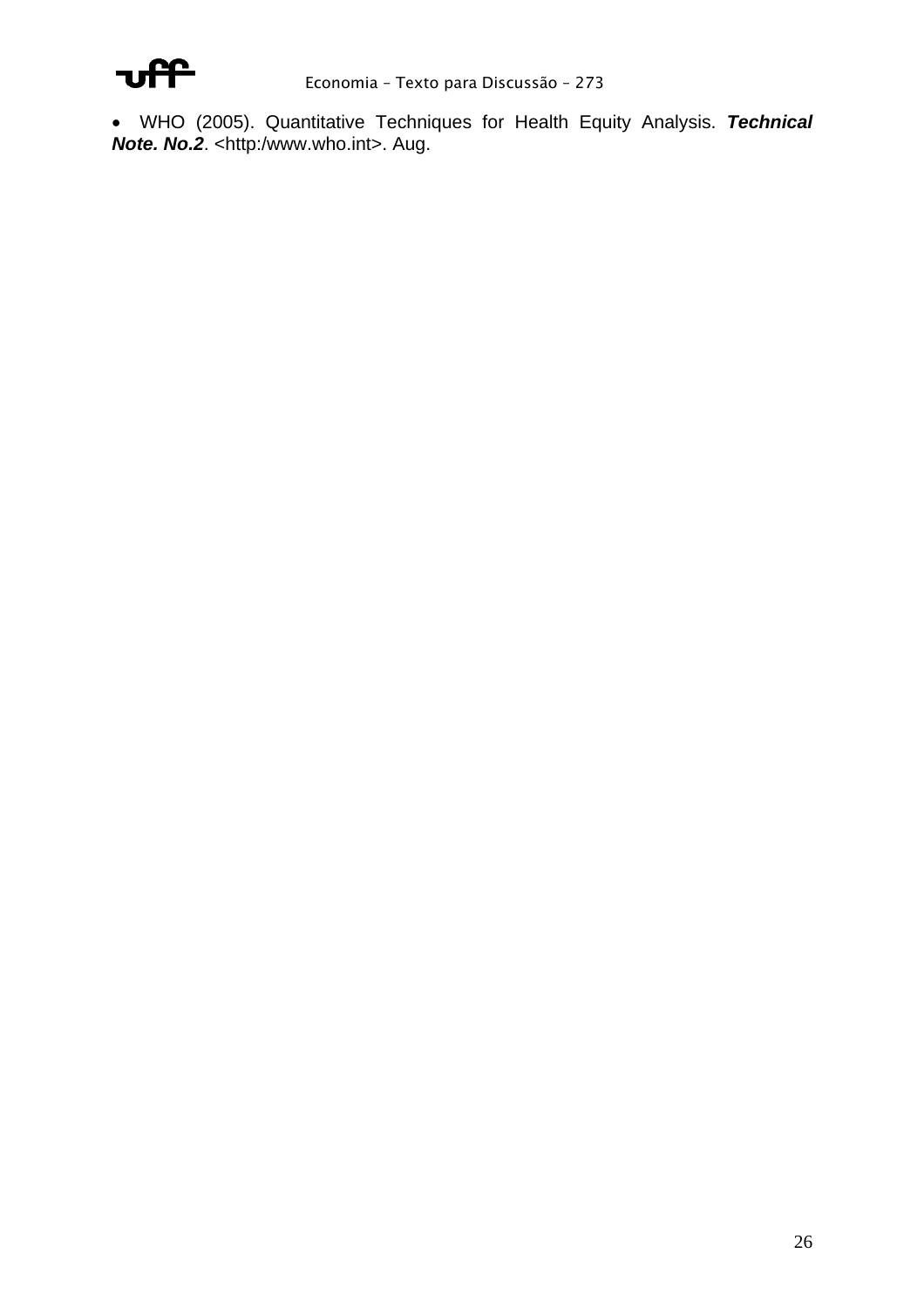

• WHO (2005). Quantitative Techniques for Health Equity Analysis. *Technical*  **Note. No.2.** <http:/www.who.int>. Aug.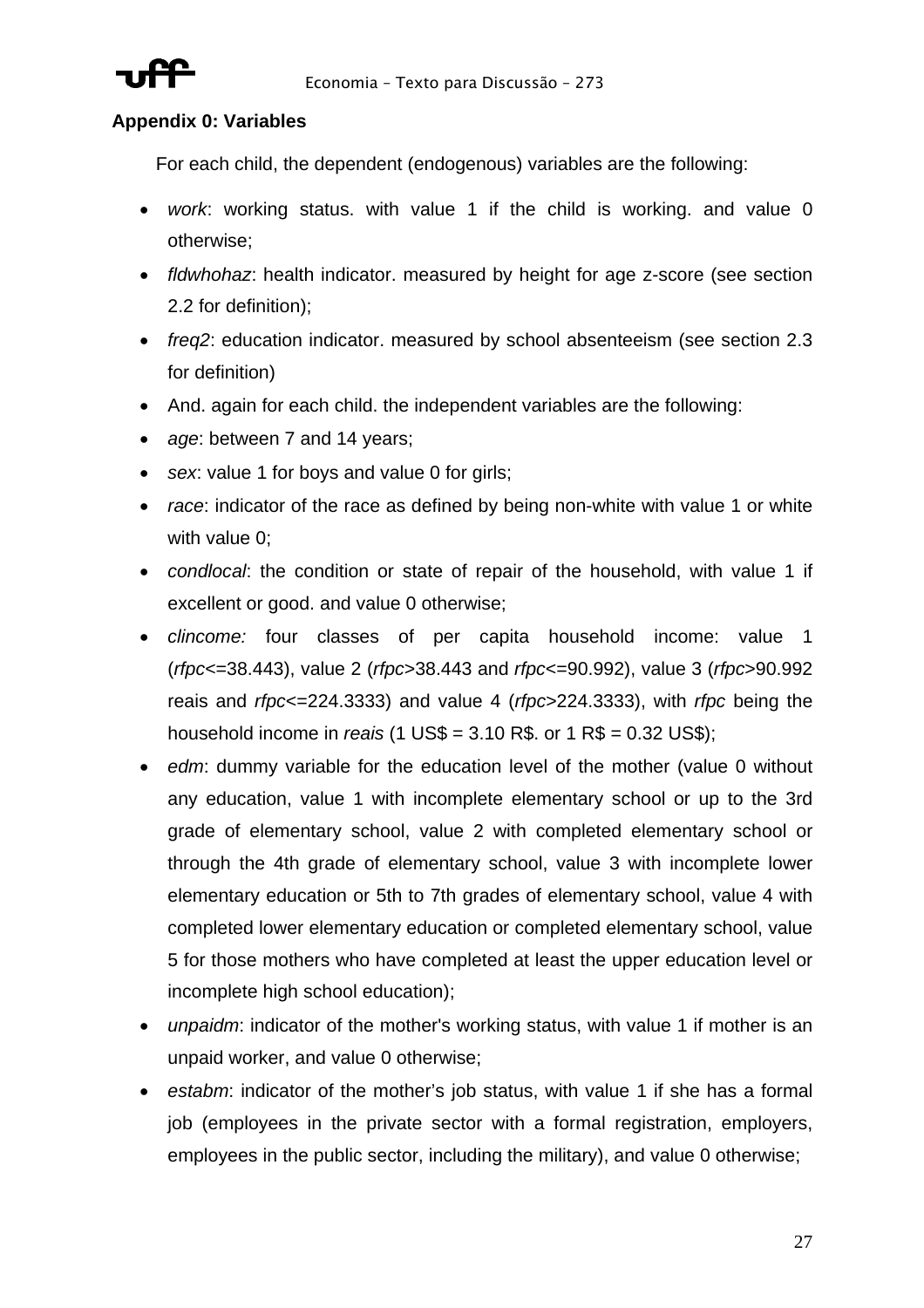

### **Appendix 0: Variables**

For each child, the dependent (endogenous) variables are the following:

- *work*: working status. with value 1 if the child is working. and value 0 otherwise;
- *fldwhohaz*: health indicator. measured by height for age z-score (see section 2.2 for definition);
- *freq2*: education indicator. measured by school absenteeism (see section 2.3 for definition)
- And. again for each child. the independent variables are the following:
- *age*: between 7 and 14 years;
- *sex*: value 1 for boys and value 0 for girls;
- *race*: indicator of the race as defined by being non-white with value 1 or white with value 0;
- *condlocal*: the condition or state of repair of the household, with value 1 if excellent or good. and value 0 otherwise;
- *clincome:* four classes of per capita household income: value 1 (*rfpc*<=38.443), value 2 (*rfpc*>38.443 and *rfpc*<=90.992), value 3 (*rfpc*>90.992 reais and *rfpc*<=224.3333) and value 4 (*rfpc*>224.3333), with *rfpc* being the household income in *reais* (1 US\$ = 3.10 R\$. or 1 R\$ = 0.32 US\$);
- *edm*: dummy variable for the education level of the mother (value 0 without any education, value 1 with incomplete elementary school or up to the 3rd grade of elementary school, value 2 with completed elementary school or through the 4th grade of elementary school, value 3 with incomplete lower elementary education or 5th to 7th grades of elementary school, value 4 with completed lower elementary education or completed elementary school, value 5 for those mothers who have completed at least the upper education level or incomplete high school education);
- *unpaidm*: indicator of the mother's working status, with value 1 if mother is an unpaid worker, and value 0 otherwise;
- *estabm*: indicator of the mother's job status, with value 1 if she has a formal job (employees in the private sector with a formal registration, employers, employees in the public sector, including the military), and value 0 otherwise;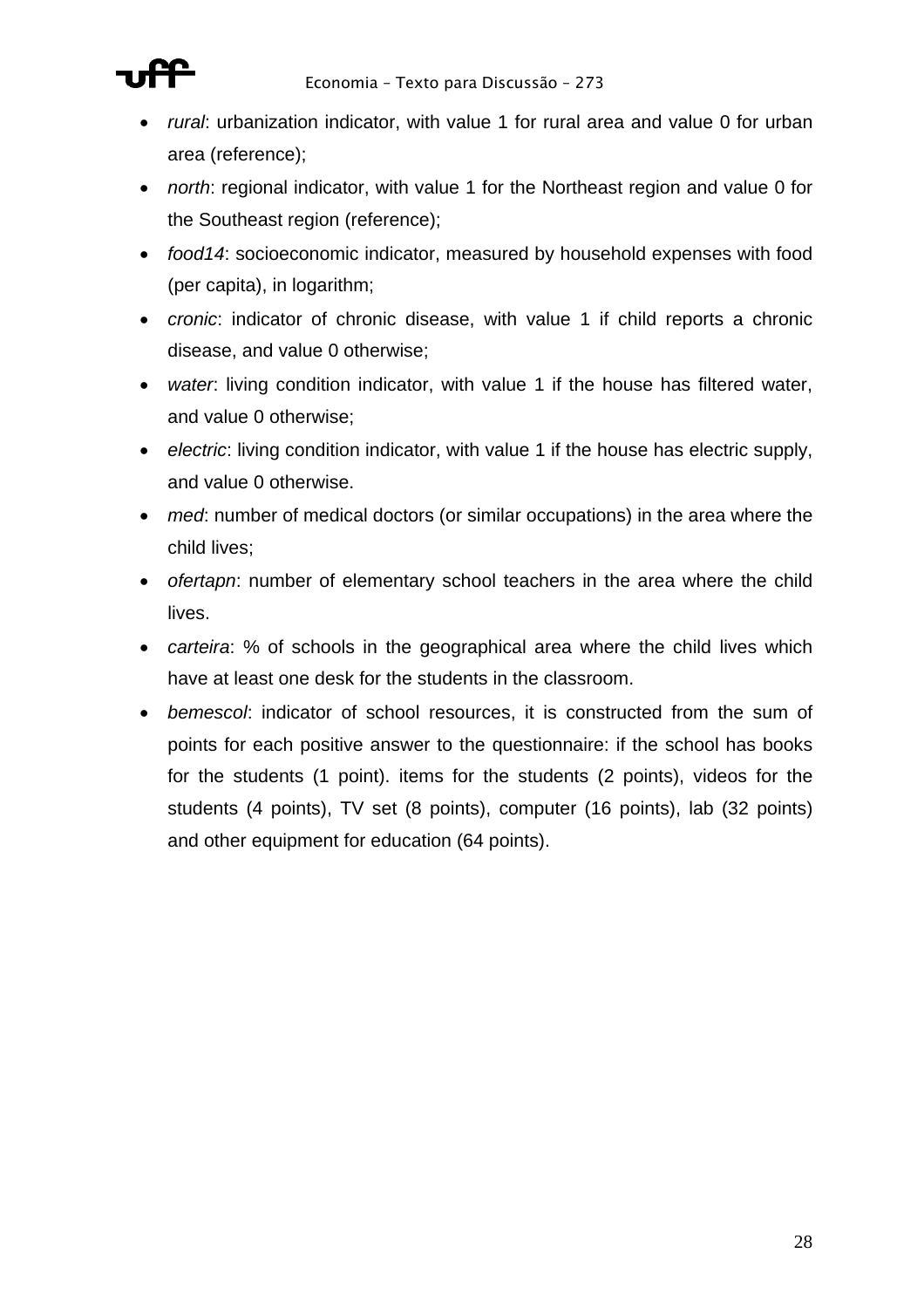

- *rural*: urbanization indicator, with value 1 for rural area and value 0 for urban area (reference);
- *north*: regional indicator, with value 1 for the Northeast region and value 0 for the Southeast region (reference);
- *food14*: socioeconomic indicator, measured by household expenses with food (per capita), in logarithm;
- *cronic*: indicator of chronic disease, with value 1 if child reports a chronic disease, and value 0 otherwise;
- *water*: living condition indicator, with value 1 if the house has filtered water, and value 0 otherwise;
- *electric*: living condition indicator, with value 1 if the house has electric supply, and value 0 otherwise.
- *med*: number of medical doctors (or similar occupations) in the area where the child lives;
- *ofertapn*: number of elementary school teachers in the area where the child lives.
- *carteira*: % of schools in the geographical area where the child lives which have at least one desk for the students in the classroom.
- *bemescol*: indicator of school resources, it is constructed from the sum of points for each positive answer to the questionnaire: if the school has books for the students (1 point). items for the students (2 points), videos for the students (4 points), TV set (8 points), computer (16 points), lab (32 points) and other equipment for education (64 points).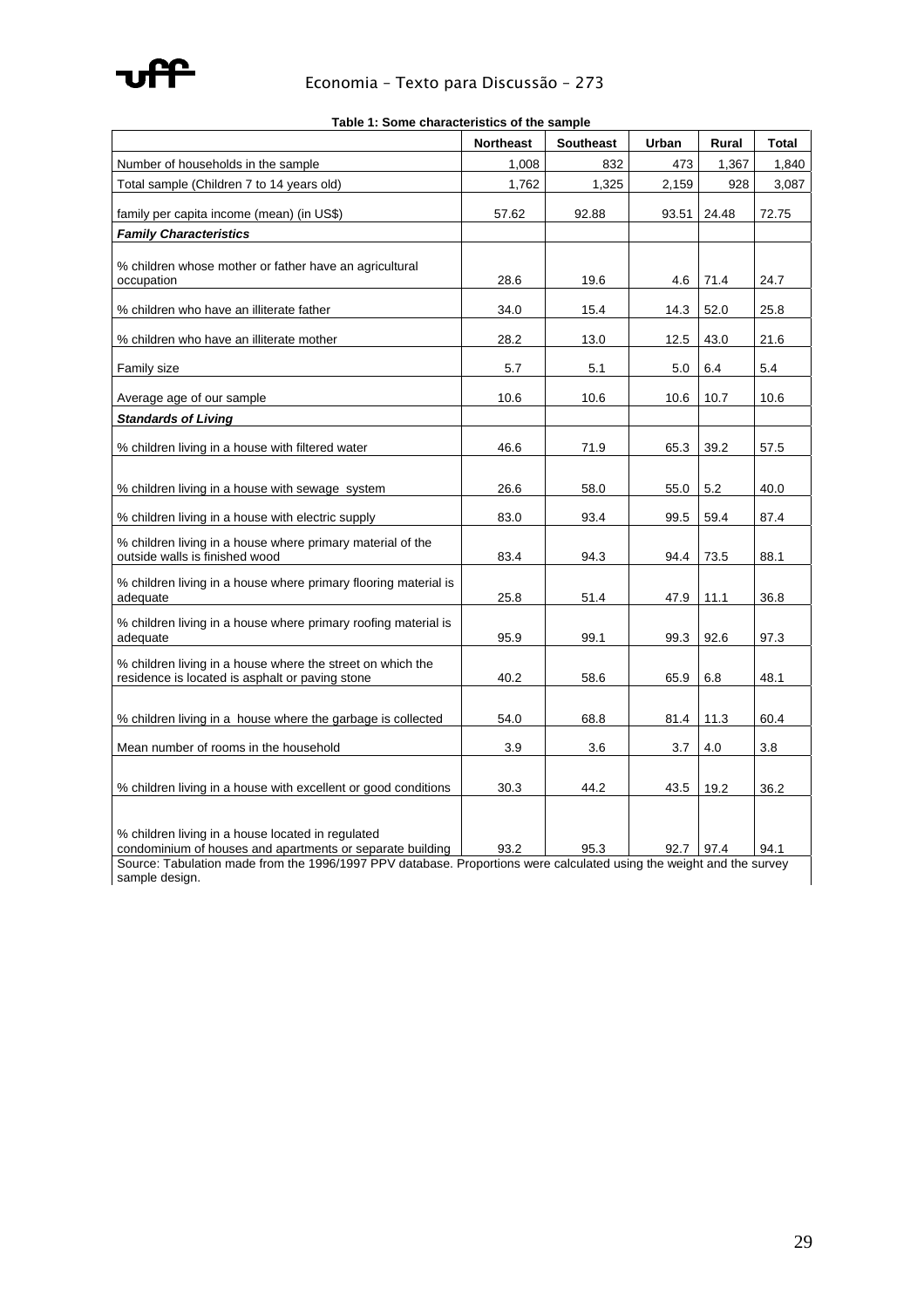

|                                                                                                                                                                                                                                        | <b>Northeast</b> | <b>Southeast</b> | Urban | Rural | <b>Total</b> |
|----------------------------------------------------------------------------------------------------------------------------------------------------------------------------------------------------------------------------------------|------------------|------------------|-------|-------|--------------|
| Number of households in the sample                                                                                                                                                                                                     | 1,008            | 832              | 473   | 1,367 | 1,840        |
| Total sample (Children 7 to 14 years old)                                                                                                                                                                                              | 1,762            | 1,325            | 2,159 | 928   | 3,087        |
| family per capita income (mean) (in US\$)                                                                                                                                                                                              | 57.62            | 92.88            | 93.51 | 24.48 | 72.75        |
| <b>Family Characteristics</b>                                                                                                                                                                                                          |                  |                  |       |       |              |
| % children whose mother or father have an agricultural<br>occupation                                                                                                                                                                   | 28.6             | 19.6             | 4.6   | 71.4  | 24.7         |
| % children who have an illiterate father                                                                                                                                                                                               | 34.0             | 15.4             | 14.3  | 52.0  | 25.8         |
| % children who have an illiterate mother                                                                                                                                                                                               | 28.2             | 13.0             | 12.5  | 43.0  | 21.6         |
| Family size                                                                                                                                                                                                                            | 5.7              | 5.1              | 5.0   | 6.4   | 5.4          |
| Average age of our sample                                                                                                                                                                                                              | 10.6             | 10.6             | 10.6  | 10.7  | 10.6         |
| <b>Standards of Living</b>                                                                                                                                                                                                             |                  |                  |       |       |              |
| % children living in a house with filtered water                                                                                                                                                                                       | 46.6             | 71.9             | 65.3  | 39.2  | 57.5         |
| % children living in a house with sewage system                                                                                                                                                                                        | 26.6             | 58.0             | 55.0  | 5.2   | 40.0         |
| % children living in a house with electric supply                                                                                                                                                                                      | 83.0             | 93.4             | 99.5  | 59.4  | 87.4         |
| % children living in a house where primary material of the<br>outside walls is finished wood                                                                                                                                           | 83.4             | 94.3             | 94.4  | 73.5  | 88.1         |
| % children living in a house where primary flooring material is<br>adequate                                                                                                                                                            | 25.8             | 51.4             | 47.9  | 11.1  | 36.8         |
| % children living in a house where primary roofing material is<br>adequate                                                                                                                                                             | 95.9             | 99.1             | 99.3  | 92.6  | 97.3         |
| % children living in a house where the street on which the<br>residence is located is asphalt or paving stone                                                                                                                          | 40.2             | 58.6             | 65.9  | 6.8   | 48.1         |
| % children living in a house where the garbage is collected                                                                                                                                                                            | 54.0             | 68.8             | 81.4  | 11.3  | 60.4         |
| Mean number of rooms in the household                                                                                                                                                                                                  | 3.9              | 3.6              | 3.7   | 4.0   | 3.8          |
| % children living in a house with excellent or good conditions                                                                                                                                                                         | 30.3             | 44.2             | 43.5  | 19.2  | 36.2         |
| % children living in a house located in regulated<br>condominium of houses and apartments or separate building<br>Source: Tabulation made from the 1996/1997 PPV database. Proportions were calculated using the weight and the survey | 93.2             | 95.3             | 92.7  | 97.4  | 94.1         |
| sample design.                                                                                                                                                                                                                         |                  |                  |       |       |              |

**Table 1: Some characteristics of the sample**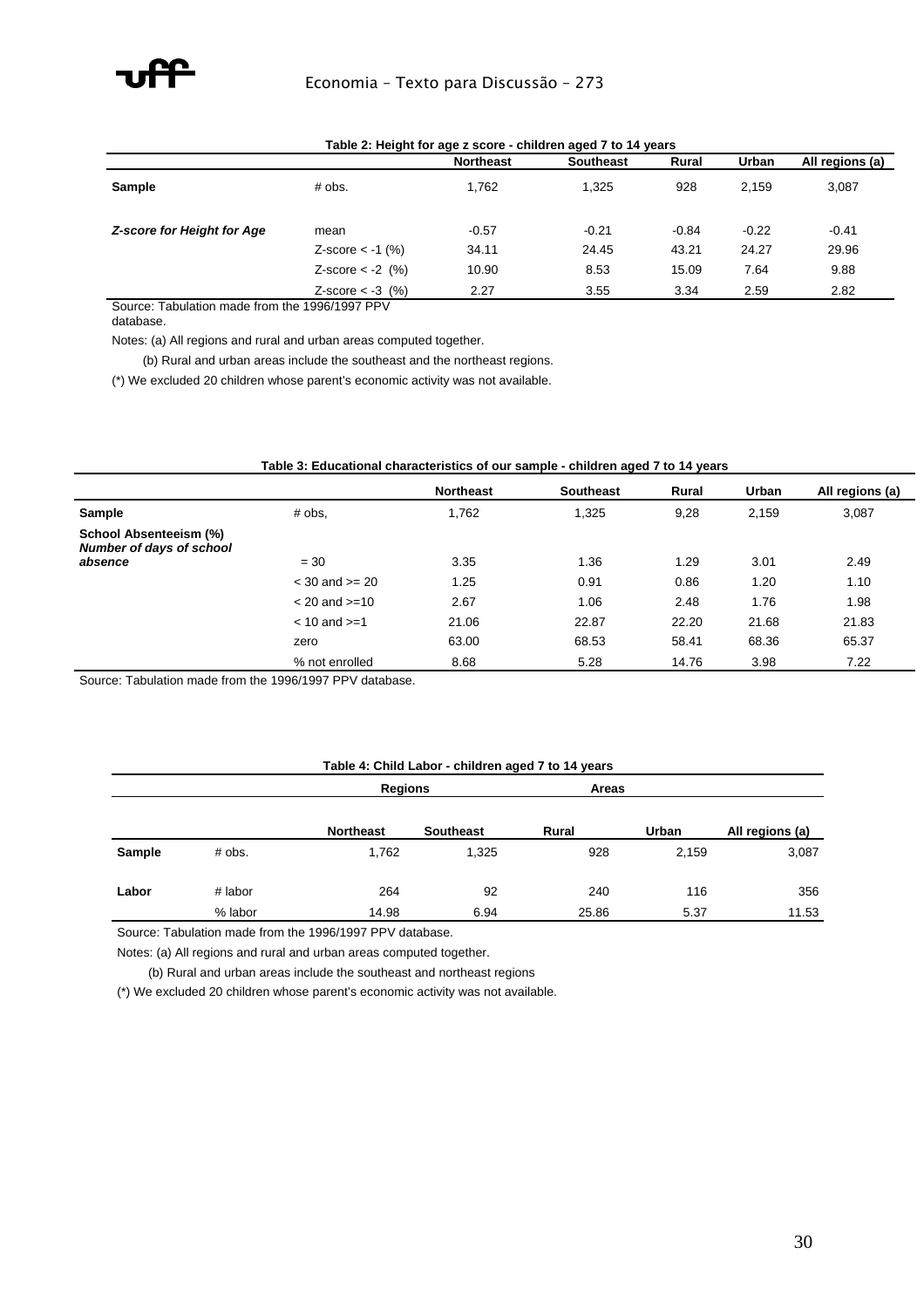

| Table 2: Height for age z score - children aged 7 to 14 years |                    |                  |                  |         |         |                 |  |  |  |  |
|---------------------------------------------------------------|--------------------|------------------|------------------|---------|---------|-----------------|--|--|--|--|
|                                                               |                    | <b>Northeast</b> | <b>Southeast</b> | Rural   | Urban   | All regions (a) |  |  |  |  |
| <b>Sample</b>                                                 | # obs.             | 1,762            | 1.325            | 928     | 2.159   | 3,087           |  |  |  |  |
| Z-score for Height for Age                                    | mean               | $-0.57$          | $-0.21$          | $-0.84$ | $-0.22$ | $-0.41$         |  |  |  |  |
|                                                               | $Z-score < -1$ (%) | 34.11            | 24.45            | 43.21   | 24.27   | 29.96           |  |  |  |  |
|                                                               | Z-score $< -2$ (%) | 10.90            | 8.53             | 15.09   | 7.64    | 9.88            |  |  |  |  |
|                                                               | $Z-score < -3$ (%) | 2.27             | 3.55             | 3.34    | 2.59    | 2.82            |  |  |  |  |

### **Table 2: Height for age z score - children aged 7 to 14 years**

Source: Tabulation made from the 1996/1997 PPV

database.

Notes: (a) All regions and rural and urban areas computed together.

(b) Rural and urban areas include the southeast and the northeast regions.

(\*) We excluded 20 children whose parent's economic activity was not available.

#### **Table 3: Educational characteristics of our sample - children aged 7 to 14 years**

|                                                    |                    | <b>Northeast</b> | <b>Southeast</b> | Rural | Urban | All regions (a) |
|----------------------------------------------------|--------------------|------------------|------------------|-------|-------|-----------------|
| Sample                                             | # obs.             | 1,762            | 1,325            | 9,28  | 2,159 | 3,087           |
| School Absenteeism (%)<br>Number of days of school |                    |                  |                  |       |       |                 |
| absence                                            | $= 30$             | 3.35             | 1.36             | 1.29  | 3.01  | 2.49            |
|                                                    | $<$ 30 and $>=$ 20 | 1.25             | 0.91             | 0.86  | 1.20  | 1.10            |
|                                                    | $< 20$ and $>= 10$ | 2.67             | 1.06             | 2.48  | 1.76  | 1.98            |
|                                                    | $< 10$ and $>= 1$  | 21.06            | 22.87            | 22.20 | 21.68 | 21.83           |
|                                                    | zero               | 63.00            | 68.53            | 58.41 | 68.36 | 65.37           |
|                                                    | % not enrolled     | 8.68             | 5.28             | 14.76 | 3.98  | 7.22            |

Source: Tabulation made from the 1996/1997 PPV database.

#### **Table 4: Child Labor - children aged 7 to 14 years**

|               |         | <b>Regions</b>   |                  | <b>Areas</b> |       |                 |
|---------------|---------|------------------|------------------|--------------|-------|-----------------|
|               |         | <b>Northeast</b> | <b>Southeast</b> | Rural        | Urban | All regions (a) |
| <b>Sample</b> | # obs.  | 1,762            | 1,325            | 928          | 2,159 | 3,087           |
| Labor         | # labor | 264              | 92               | 240          | 116   | 356             |
|               | % labor | 14.98            | 6.94             | 25.86        | 5.37  | 11.53           |

Source: Tabulation made from the 1996/1997 PPV database.

Notes: (a) All regions and rural and urban areas computed together.

(b) Rural and urban areas include the southeast and northeast regions

(\*) We excluded 20 children whose parent's economic activity was not available.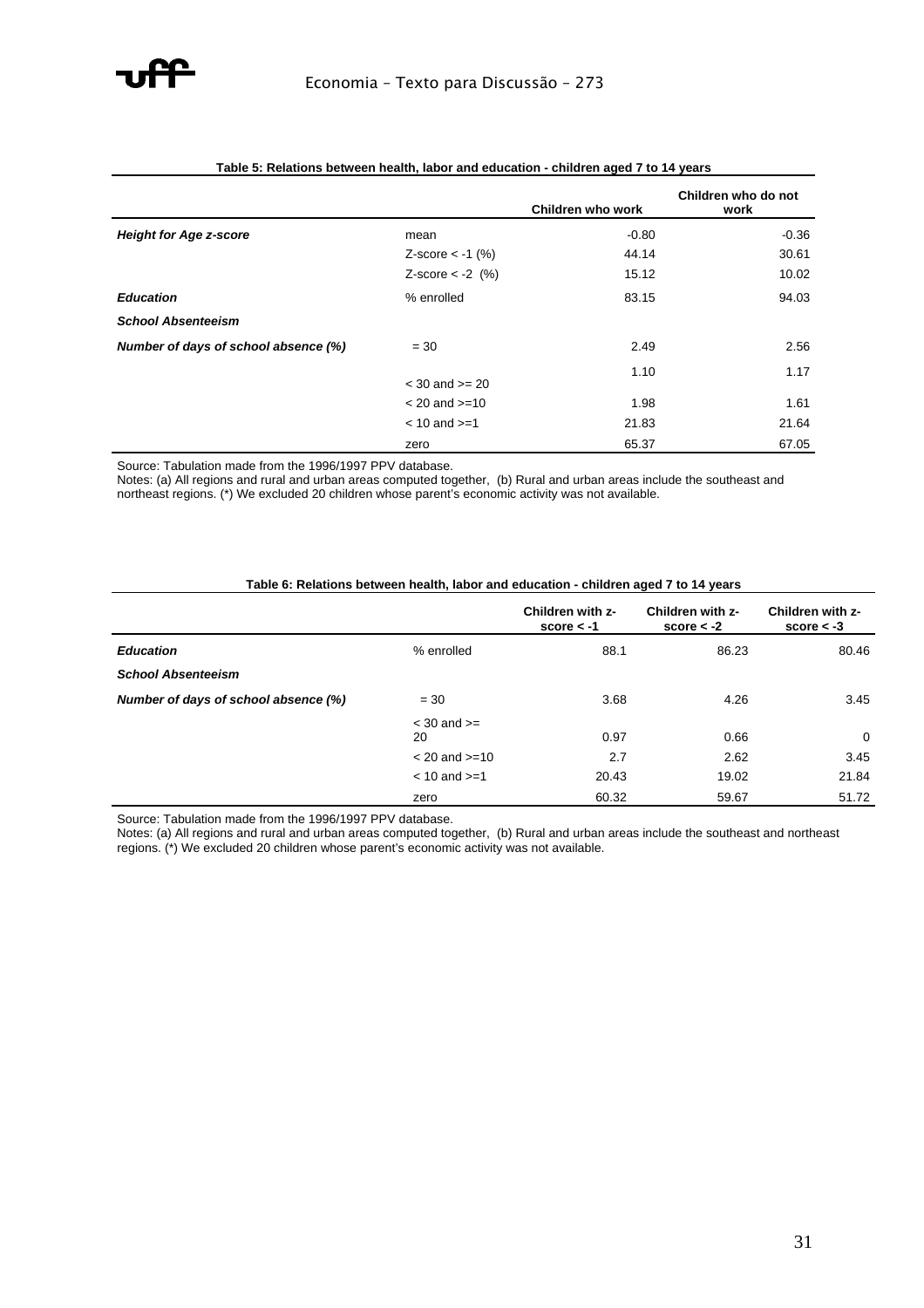

|                                      |                    | Children who work | Children who do not<br>work |
|--------------------------------------|--------------------|-------------------|-----------------------------|
| <b>Height for Age z-score</b>        | mean               | $-0.80$           | $-0.36$                     |
|                                      | Z-score $<$ -1 (%) | 44.14             | 30.61                       |
|                                      | Z-score $<$ -2 (%) | 15.12             | 10.02                       |
| <b>Education</b>                     | % enrolled         | 83.15             | 94.03                       |
| <b>School Absenteeism</b>            |                    |                   |                             |
| Number of days of school absence (%) | $= 30$             | 2.49              | 2.56                        |
|                                      | $<$ 30 and $>=$ 20 | 1.10              | 1.17                        |
|                                      | $< 20$ and $>= 10$ | 1.98              | 1.61                        |
|                                      | $< 10$ and $>= 1$  | 21.83             | 21.64                       |
|                                      | zero               | 65.37             | 67.05                       |

#### **Table 5: Relations between health, labor and education - children aged 7 to 14 years**

Source: Tabulation made from the 1996/1997 PPV database.

Notes: (a) All regions and rural and urban areas computed together, (b) Rural and urban areas include the southeast and northeast regions. (\*) We excluded 20 children whose parent's economic activity was not available.

| Table 6: Relations between health, labor and education - children aged 7 to 14 years |
|--------------------------------------------------------------------------------------|
|--------------------------------------------------------------------------------------|

|                                      |                       | Children with z-<br>score $< -1$ | Children with z-<br>score $< -2$ | Children with z-<br>score $< -3$ |
|--------------------------------------|-----------------------|----------------------------------|----------------------------------|----------------------------------|
| <b>Education</b>                     | % enrolled            | 88.1                             | 86.23                            | 80.46                            |
| <b>School Absenteeism</b>            |                       |                                  |                                  |                                  |
| Number of days of school absence (%) | $= 30$                | 3.68                             | 4.26                             | 3.45                             |
|                                      | $<$ 30 and $>=$<br>20 | 0.97                             | 0.66                             | $\mathbf 0$                      |
|                                      | $< 20$ and $>= 10$    | 2.7                              | 2.62                             | 3.45                             |
|                                      | $< 10$ and $>= 1$     | 20.43                            | 19.02                            | 21.84                            |
|                                      | zero                  | 60.32                            | 59.67                            | 51.72                            |

Source: Tabulation made from the 1996/1997 PPV database.

Notes: (a) All regions and rural and urban areas computed together, (b) Rural and urban areas include the southeast and northeast regions. (\*) We excluded 20 children whose parent's economic activity was not available.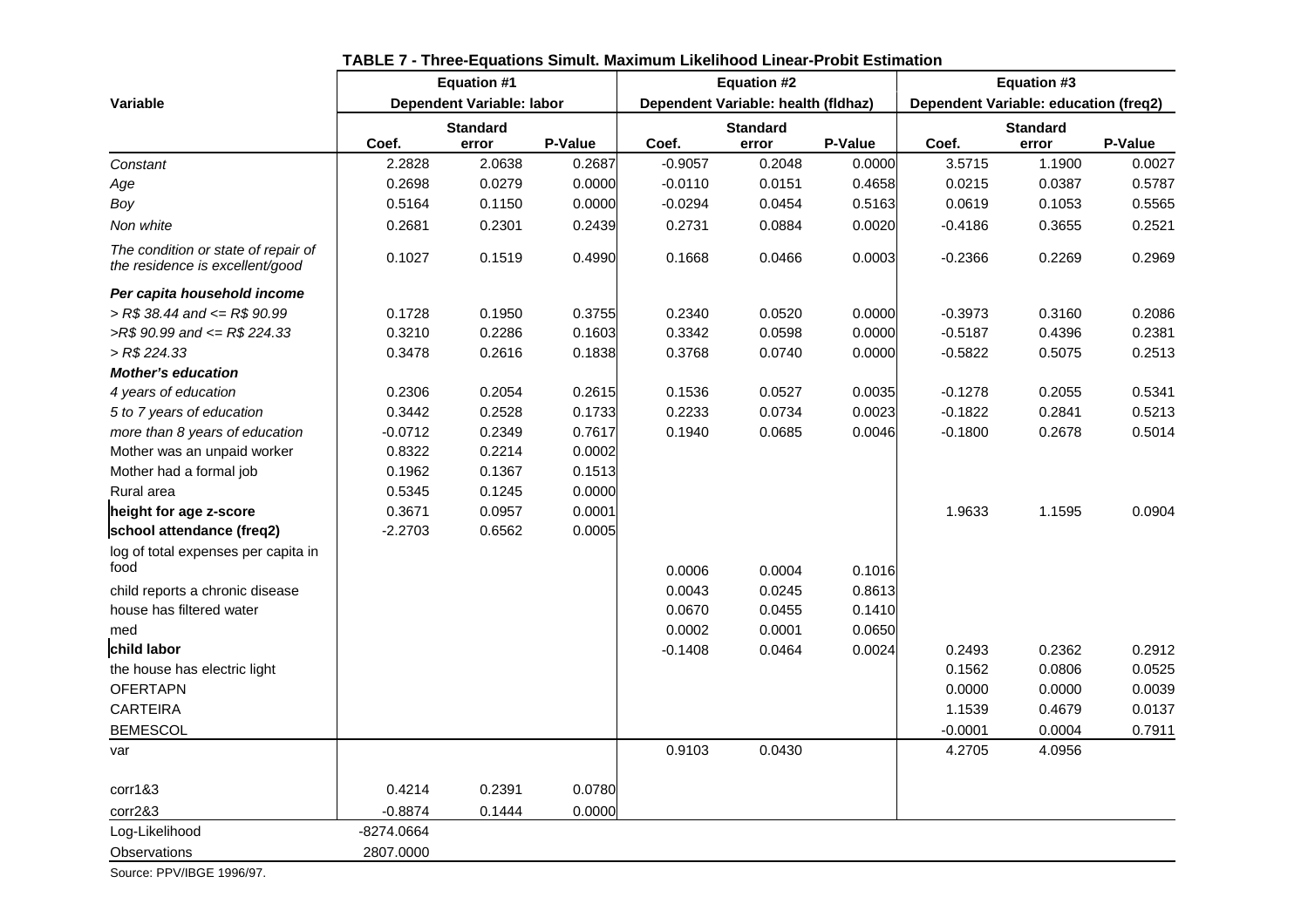|                                                                        |            | <b>Equation #1</b>        |         |           | <b>Equation #2</b>                  |         |                                       | <b>Equation #3</b> |         |  |
|------------------------------------------------------------------------|------------|---------------------------|---------|-----------|-------------------------------------|---------|---------------------------------------|--------------------|---------|--|
| <b>Variable</b>                                                        |            | Dependent Variable: labor |         |           | Dependent Variable: health (fldhaz) |         | Dependent Variable: education (freq2) |                    |         |  |
|                                                                        |            | <b>Standard</b>           |         |           | <b>Standard</b>                     |         | <b>Standard</b>                       |                    |         |  |
|                                                                        | Coef.      | error                     | P-Value | Coef.     | error                               | P-Value | Coef.                                 | error              | P-Value |  |
| Constant                                                               | 2.2828     | 2.0638                    | 0.2687  | $-0.9057$ | 0.2048                              | 0.0000  | 3.5715                                | 1.1900             | 0.0027  |  |
| Age                                                                    | 0.2698     | 0.0279                    | 0.0000  | $-0.0110$ | 0.0151                              | 0.4658  | 0.0215                                | 0.0387             | 0.5787  |  |
| Boy                                                                    | 0.5164     | 0.1150                    | 0.0000  | $-0.0294$ | 0.0454                              | 0.5163  | 0.0619                                | 0.1053             | 0.5565  |  |
| Non white                                                              | 0.2681     | 0.2301                    | 0.2439  | 0.2731    | 0.0884                              | 0.0020  | $-0.4186$                             | 0.3655             | 0.2521  |  |
| The condition or state of repair of<br>the residence is excellent/good | 0.1027     | 0.1519                    | 0.4990  | 0.1668    | 0.0466                              | 0.0003  | $-0.2366$                             | 0.2269             | 0.2969  |  |
| Per capita household income                                            |            |                           |         |           |                                     |         |                                       |                    |         |  |
| $>$ R\$ 38.44 and $\leq$ R\$ 90.99                                     | 0.1728     | 0.1950                    | 0.3755  | 0.2340    | 0.0520                              | 0.0000  | $-0.3973$                             | 0.3160             | 0.2086  |  |
| $>R$$ 90.99 and $\leq$ R\$ 224.33                                      | 0.3210     | 0.2286                    | 0.1603  | 0.3342    | 0.0598                              | 0.0000  | $-0.5187$                             | 0.4396             | 0.2381  |  |
| $>$ R\$ 224.33                                                         | 0.3478     | 0.2616                    | 0.1838  | 0.3768    | 0.0740                              | 0.0000  | $-0.5822$                             | 0.5075             | 0.2513  |  |
| <b>Mother's education</b>                                              |            |                           |         |           |                                     |         |                                       |                    |         |  |
| 4 years of education                                                   | 0.2306     | 0.2054                    | 0.2615  | 0.1536    | 0.0527                              | 0.0035  | $-0.1278$                             | 0.2055             | 0.5341  |  |
| 5 to 7 years of education                                              | 0.3442     | 0.2528                    | 0.1733  | 0.2233    | 0.0734                              | 0.0023  | $-0.1822$                             | 0.2841             | 0.5213  |  |
| more than 8 years of education                                         | $-0.0712$  | 0.2349                    | 0.7617  | 0.1940    | 0.0685                              | 0.0046  | $-0.1800$                             | 0.2678             | 0.5014  |  |
| Mother was an unpaid worker                                            | 0.8322     | 0.2214                    | 0.0002  |           |                                     |         |                                       |                    |         |  |
| Mother had a formal job                                                | 0.1962     | 0.1367                    | 0.1513  |           |                                     |         |                                       |                    |         |  |
| Rural area                                                             | 0.5345     | 0.1245                    | 0.0000  |           |                                     |         |                                       |                    |         |  |
| height for age z-score                                                 | 0.3671     | 0.0957                    | 0.0001  |           |                                     |         | 1.9633                                | 1.1595             | 0.0904  |  |
| school attendance (freq2)                                              | $-2.2703$  | 0.6562                    | 0.0005  |           |                                     |         |                                       |                    |         |  |
| log of total expenses per capita in                                    |            |                           |         |           |                                     |         |                                       |                    |         |  |
| food                                                                   |            |                           |         | 0.0006    | 0.0004                              | 0.1016  |                                       |                    |         |  |
| child reports a chronic disease                                        |            |                           |         | 0.0043    | 0.0245                              | 0.8613  |                                       |                    |         |  |
| house has filtered water                                               |            |                           |         | 0.0670    | 0.0455                              | 0.1410  |                                       |                    |         |  |
| med                                                                    |            |                           |         | 0.0002    | 0.0001                              | 0.0650  |                                       |                    |         |  |
| child labor                                                            |            |                           |         | $-0.1408$ | 0.0464                              | 0.0024  | 0.2493                                | 0.2362             | 0.2912  |  |
| the house has electric light                                           |            |                           |         |           |                                     |         | 0.1562                                | 0.0806             | 0.0525  |  |
| <b>OFERTAPN</b>                                                        |            |                           |         |           |                                     |         | 0.0000                                | 0.0000             | 0.0039  |  |
| <b>CARTEIRA</b>                                                        |            |                           |         |           |                                     |         | 1.1539                                | 0.4679             | 0.0137  |  |
| <b>BEMESCOL</b>                                                        |            |                           |         |           |                                     |         | $-0.0001$                             | 0.0004             | 0.7911  |  |
| var                                                                    |            |                           |         | 0.9103    | 0.0430                              |         | 4.2705                                | 4.0956             |         |  |
| corr1&3                                                                | 0.4214     | 0.2391                    | 0.0780  |           |                                     |         |                                       |                    |         |  |
| corr2&3                                                                | $-0.8874$  | 0.1444                    | 0.0000  |           |                                     |         |                                       |                    |         |  |
| Log-Likelihood                                                         | -8274.0664 |                           |         |           |                                     |         |                                       |                    |         |  |
| Observations                                                           | 2807.0000  |                           |         |           |                                     |         |                                       |                    |         |  |

### **TABLE 7 - Three-Equations Simult. Maximum Likelihood Linear-Probit Estimation**

Source: PPV/IBGE 1996/97.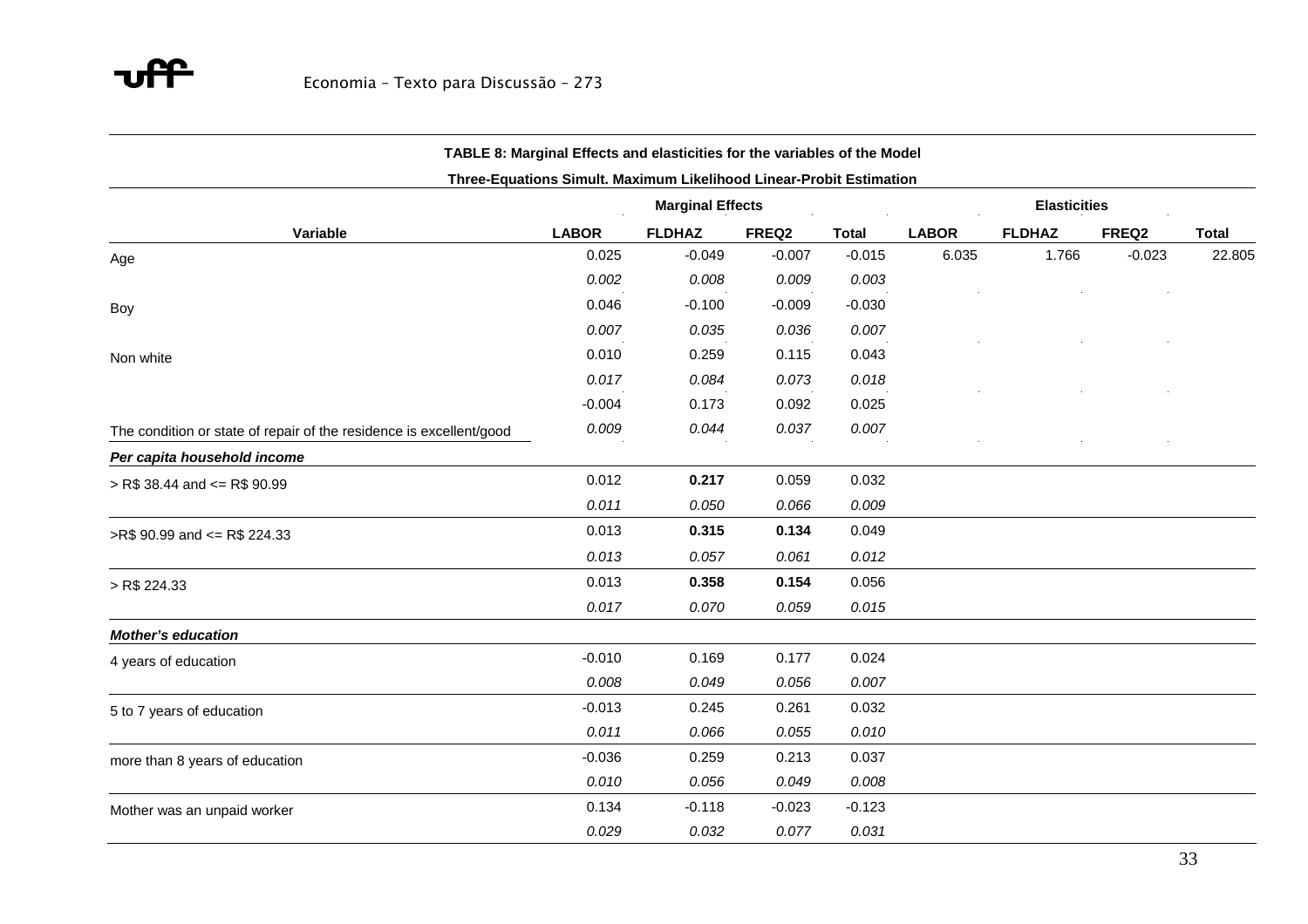#### **TABLE 8: Marginal Effects and elasticities for the variables of the Model**

#### **Three-Equations Simult. Maximum Likelihood Linear-Probit Estimation**

|                                                                     | <b>Marginal Effects</b> |               |          | <b>Elasticities</b> |              |               |          |              |
|---------------------------------------------------------------------|-------------------------|---------------|----------|---------------------|--------------|---------------|----------|--------------|
| Variable                                                            | <b>LABOR</b>            | <b>FLDHAZ</b> | FREQ2    | <b>Total</b>        | <b>LABOR</b> | <b>FLDHAZ</b> | FREQ2    | <b>Total</b> |
| Age                                                                 | 0.025                   | $-0.049$      | $-0.007$ | $-0.015$            | 6.035        | 1.766         | $-0.023$ | 22.805       |
|                                                                     | 0.002                   | 0.008         | 0.009    | 0.003               |              |               |          |              |
| Boy                                                                 | 0.046                   | $-0.100$      | $-0.009$ | $-0.030$            |              |               |          |              |
|                                                                     | 0.007                   | 0.035         | 0.036    | 0.007               |              |               |          |              |
| Non white                                                           | 0.010                   | 0.259         | 0.115    | 0.043               |              |               |          |              |
|                                                                     | 0.017                   | 0.084         | 0.073    | 0.018               |              |               |          |              |
|                                                                     | $-0.004$                | 0.173         | 0.092    | 0.025               |              |               |          |              |
| The condition or state of repair of the residence is excellent/good | 0.009                   | 0.044         | 0.037    | 0.007               |              |               |          |              |
| Per capita household income                                         |                         |               |          |                     |              |               |          |              |
| $>$ R\$ 38.44 and $\leq$ R\$ 90.99                                  | 0.012                   | 0.217         | 0.059    | 0.032               |              |               |          |              |
|                                                                     | 0.011                   | 0.050         | 0.066    | 0.009               |              |               |          |              |
| >R\$ 90.99 and <= R\$ 224.33                                        | 0.013                   | 0.315         | 0.134    | 0.049               |              |               |          |              |
|                                                                     | 0.013                   | 0.057         | 0.061    | 0.012               |              |               |          |              |
| > R\$ 224.33                                                        | 0.013                   | 0.358         | 0.154    | 0.056               |              |               |          |              |
|                                                                     | 0.017                   | 0.070         | 0.059    | 0.015               |              |               |          |              |
| <b>Mother's education</b>                                           |                         |               |          |                     |              |               |          |              |
| 4 years of education                                                | $-0.010$                | 0.169         | 0.177    | 0.024               |              |               |          |              |
|                                                                     | 0.008                   | 0.049         | 0.056    | 0.007               |              |               |          |              |
| 5 to 7 years of education                                           | $-0.013$                | 0.245         | 0.261    | 0.032               |              |               |          |              |
|                                                                     | 0.011                   | 0.066         | 0.055    | 0.010               |              |               |          |              |
| more than 8 years of education                                      | $-0.036$                | 0.259         | 0.213    | 0.037               |              |               |          |              |
|                                                                     | 0.010                   | 0.056         | 0.049    | 0.008               |              |               |          |              |
| Mother was an unpaid worker                                         | 0.134                   | $-0.118$      | $-0.023$ | $-0.123$            |              |               |          |              |
|                                                                     | 0.029                   | 0.032         | 0.077    | 0.031               |              |               |          |              |
|                                                                     |                         |               |          |                     |              |               |          |              |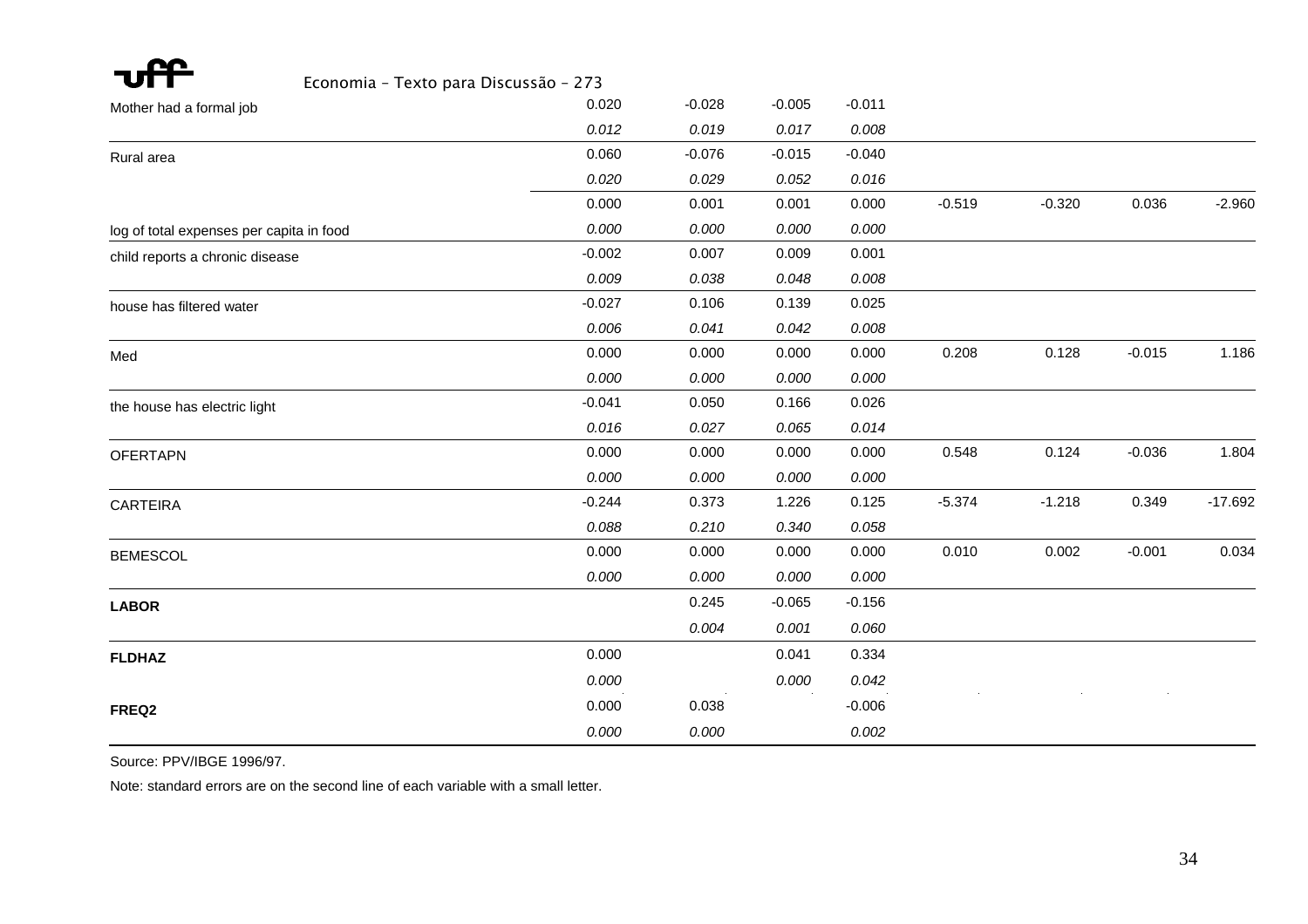| Economia - Texto para Discussão - 273    |          |          |          |          |          |          |          |           |
|------------------------------------------|----------|----------|----------|----------|----------|----------|----------|-----------|
| Mother had a formal job                  | 0.020    | $-0.028$ | $-0.005$ | $-0.011$ |          |          |          |           |
|                                          | 0.012    | 0.019    | 0.017    | 0.008    |          |          |          |           |
| Rural area                               | 0.060    | $-0.076$ | $-0.015$ | $-0.040$ |          |          |          |           |
|                                          | 0.020    | 0.029    | 0.052    | 0.016    |          |          |          |           |
|                                          | 0.000    | 0.001    | 0.001    | 0.000    | $-0.519$ | $-0.320$ | 0.036    | $-2.960$  |
| log of total expenses per capita in food | 0.000    | 0.000    | 0.000    | 0.000    |          |          |          |           |
| child reports a chronic disease          | $-0.002$ | 0.007    | 0.009    | 0.001    |          |          |          |           |
|                                          | 0.009    | 0.038    | 0.048    | 0.008    |          |          |          |           |
| house has filtered water                 | $-0.027$ | 0.106    | 0.139    | 0.025    |          |          |          |           |
|                                          | 0.006    | 0.041    | 0.042    | 0.008    |          |          |          |           |
| Med                                      | 0.000    | 0.000    | 0.000    | 0.000    | 0.208    | 0.128    | $-0.015$ | 1.186     |
|                                          | 0.000    | 0.000    | 0.000    | 0.000    |          |          |          |           |
| the house has electric light             | $-0.041$ | 0.050    | 0.166    | 0.026    |          |          |          |           |
|                                          | 0.016    | 0.027    | 0.065    | 0.014    |          |          |          |           |
| <b>OFERTAPN</b>                          | 0.000    | 0.000    | 0.000    | 0.000    | 0.548    | 0.124    | $-0.036$ | 1.804     |
|                                          | 0.000    | 0.000    | 0.000    | 0.000    |          |          |          |           |
| <b>CARTEIRA</b>                          | $-0.244$ | 0.373    | 1.226    | 0.125    | $-5.374$ | $-1.218$ | 0.349    | $-17.692$ |
|                                          | 0.088    | 0.210    | 0.340    | 0.058    |          |          |          |           |
| <b>BEMESCOL</b>                          | 0.000    | 0.000    | 0.000    | 0.000    | 0.010    | 0.002    | $-0.001$ | 0.034     |
|                                          | 0.000    | 0.000    | 0.000    | 0.000    |          |          |          |           |
| <b>LABOR</b>                             |          | 0.245    | $-0.065$ | $-0.156$ |          |          |          |           |
|                                          |          | 0.004    | 0.001    | 0.060    |          |          |          |           |
| <b>FLDHAZ</b>                            | 0.000    |          | 0.041    | 0.334    |          |          |          |           |
|                                          | 0.000    |          | 0.000    | 0.042    |          |          |          |           |
| FREQ2                                    | 0.000    | 0.038    |          | $-0.006$ |          |          |          |           |
|                                          | 0.000    | 0.000    |          | 0.002    |          |          |          |           |

Source: PPV/IBGE 1996/97.

Note: standard errors are on the second line of each variable with a small letter.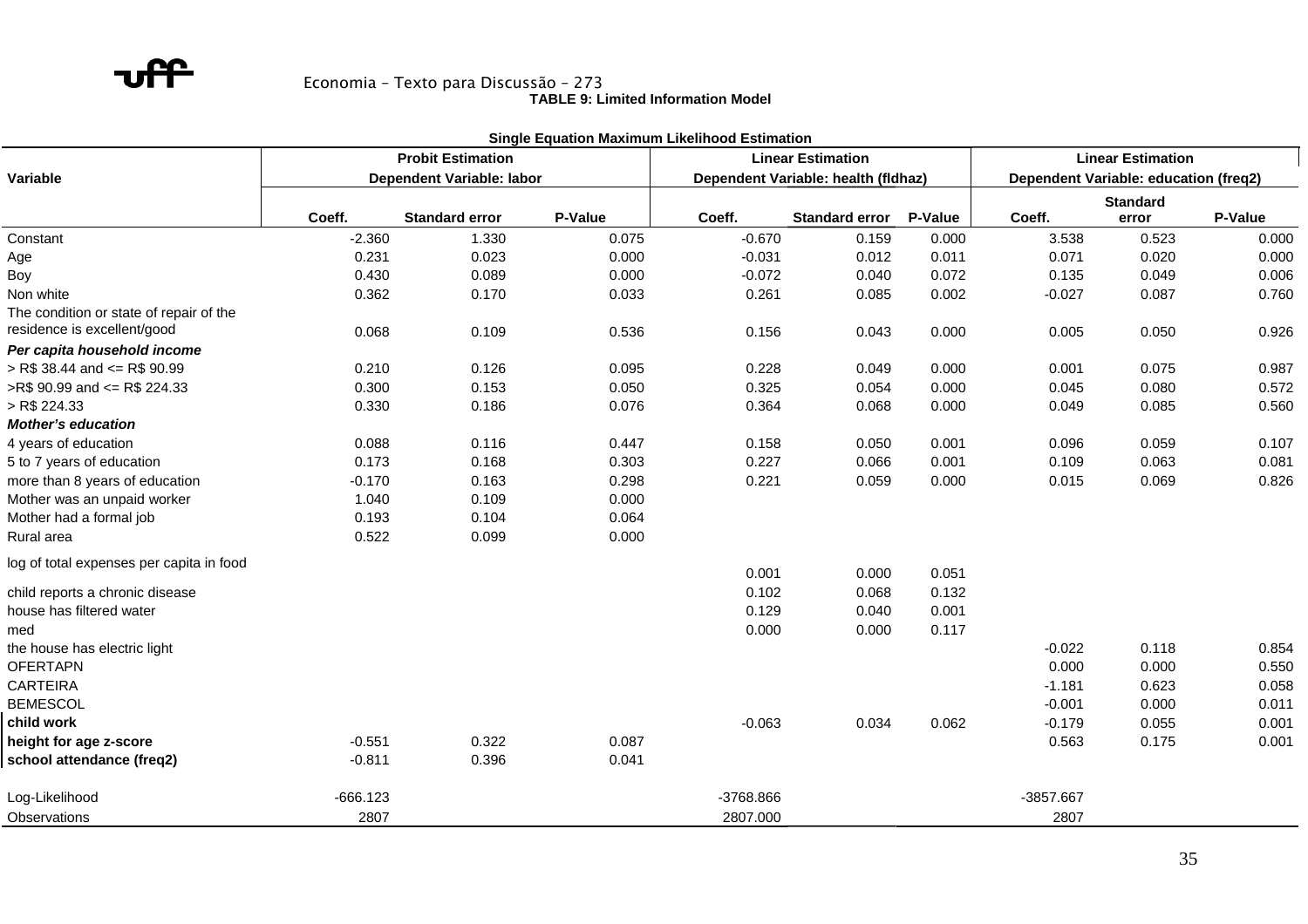**TABLE 9: Limited Information Model** 

|                                          |            |                                                      | <b>Single Equation Maximum Likelihood Estimation</b> |           |                                     |                |                                       |                          |         |
|------------------------------------------|------------|------------------------------------------------------|------------------------------------------------------|-----------|-------------------------------------|----------------|---------------------------------------|--------------------------|---------|
|                                          |            | <b>Probit Estimation</b><br><b>Linear Estimation</b> |                                                      |           |                                     |                |                                       | <b>Linear Estimation</b> |         |
| Variable                                 |            | Dependent Variable: labor                            |                                                      |           | Dependent Variable: health (fldhaz) |                | Dependent Variable: education (freq2) |                          |         |
|                                          |            |                                                      |                                                      |           |                                     |                |                                       | <b>Standard</b>          |         |
|                                          | Coeff.     | <b>Standard error</b>                                | P-Value                                              | Coeff.    | <b>Standard error</b>               | <b>P-Value</b> | Coeff.                                | error                    | P-Value |
| Constant                                 | $-2.360$   | 1.330                                                | 0.075                                                | $-0.670$  | 0.159                               | 0.000          | 3.538                                 | 0.523                    | 0.000   |
| Age                                      | 0.231      | 0.023                                                | 0.000                                                | $-0.031$  | 0.012                               | 0.011          | 0.071                                 | 0.020                    | 0.000   |
| Boy                                      | 0.430      | 0.089                                                | 0.000                                                | $-0.072$  | 0.040                               | 0.072          | 0.135                                 | 0.049                    | 0.006   |
| Non white                                | 0.362      | 0.170                                                | 0.033                                                | 0.261     | 0.085                               | 0.002          | $-0.027$                              | 0.087                    | 0.760   |
| The condition or state of repair of the  |            |                                                      |                                                      |           |                                     |                |                                       |                          |         |
| residence is excellent/good              | 0.068      | 0.109                                                | 0.536                                                | 0.156     | 0.043                               | 0.000          | 0.005                                 | 0.050                    | 0.926   |
| Per capita household income              |            |                                                      |                                                      |           |                                     |                |                                       |                          |         |
| $>$ R\$ 38.44 and $\leq$ R\$ 90.99       | 0.210      | 0.126                                                | 0.095                                                | 0.228     | 0.049                               | 0.000          | 0.001                                 | 0.075                    | 0.987   |
| >R\$ 90.99 and <= R\$ 224.33             | 0.300      | 0.153                                                | 0.050                                                | 0.325     | 0.054                               | 0.000          | 0.045                                 | 0.080                    | 0.572   |
| $>$ R\$ 224.33                           | 0.330      | 0.186                                                | 0.076                                                | 0.364     | 0.068                               | 0.000          | 0.049                                 | 0.085                    | 0.560   |
| <b>Mother's education</b>                |            |                                                      |                                                      |           |                                     |                |                                       |                          |         |
| 4 years of education                     | 0.088      | 0.116                                                | 0.447                                                | 0.158     | 0.050                               | 0.001          | 0.096                                 | 0.059                    | 0.107   |
| 5 to 7 years of education                | 0.173      | 0.168                                                | 0.303                                                | 0.227     | 0.066                               | 0.001          | 0.109                                 | 0.063                    | 0.081   |
| more than 8 years of education           | $-0.170$   | 0.163                                                | 0.298                                                | 0.221     | 0.059                               | 0.000          | 0.015                                 | 0.069                    | 0.826   |
| Mother was an unpaid worker              | 1.040      | 0.109                                                | 0.000                                                |           |                                     |                |                                       |                          |         |
| Mother had a formal job                  | 0.193      | 0.104                                                | 0.064                                                |           |                                     |                |                                       |                          |         |
| Rural area                               | 0.522      | 0.099                                                | 0.000                                                |           |                                     |                |                                       |                          |         |
| log of total expenses per capita in food |            |                                                      |                                                      | 0.001     | 0.000                               | 0.051          |                                       |                          |         |
| child reports a chronic disease          |            |                                                      |                                                      | 0.102     | 0.068                               | 0.132          |                                       |                          |         |
| house has filtered water                 |            |                                                      |                                                      | 0.129     | 0.040                               | 0.001          |                                       |                          |         |
| med                                      |            |                                                      |                                                      | 0.000     | 0.000                               | 0.117          |                                       |                          |         |
| the house has electric light             |            |                                                      |                                                      |           |                                     |                | $-0.022$                              | 0.118                    | 0.854   |
| <b>OFERTAPN</b>                          |            |                                                      |                                                      |           |                                     |                | 0.000                                 | 0.000                    | 0.550   |
| <b>CARTEIRA</b>                          |            |                                                      |                                                      |           |                                     |                | $-1.181$                              | 0.623                    | 0.058   |
| <b>BEMESCOL</b>                          |            |                                                      |                                                      |           |                                     |                | $-0.001$                              | 0.000                    | 0.011   |
| child work                               |            |                                                      |                                                      | $-0.063$  | 0.034                               | 0.062          | $-0.179$                              | 0.055                    | 0.001   |
| height for age z-score                   | $-0.551$   | 0.322                                                | 0.087                                                |           |                                     |                | 0.563                                 | 0.175                    | 0.001   |
| school attendance (freq2)                | $-0.811$   | 0.396                                                | 0.041                                                |           |                                     |                |                                       |                          |         |
| Log-Likelihood                           | $-666.123$ |                                                      |                                                      | -3768.866 |                                     |                | -3857.667                             |                          |         |
| Observations                             | 2807       |                                                      |                                                      | 2807.000  |                                     |                | 2807                                  |                          |         |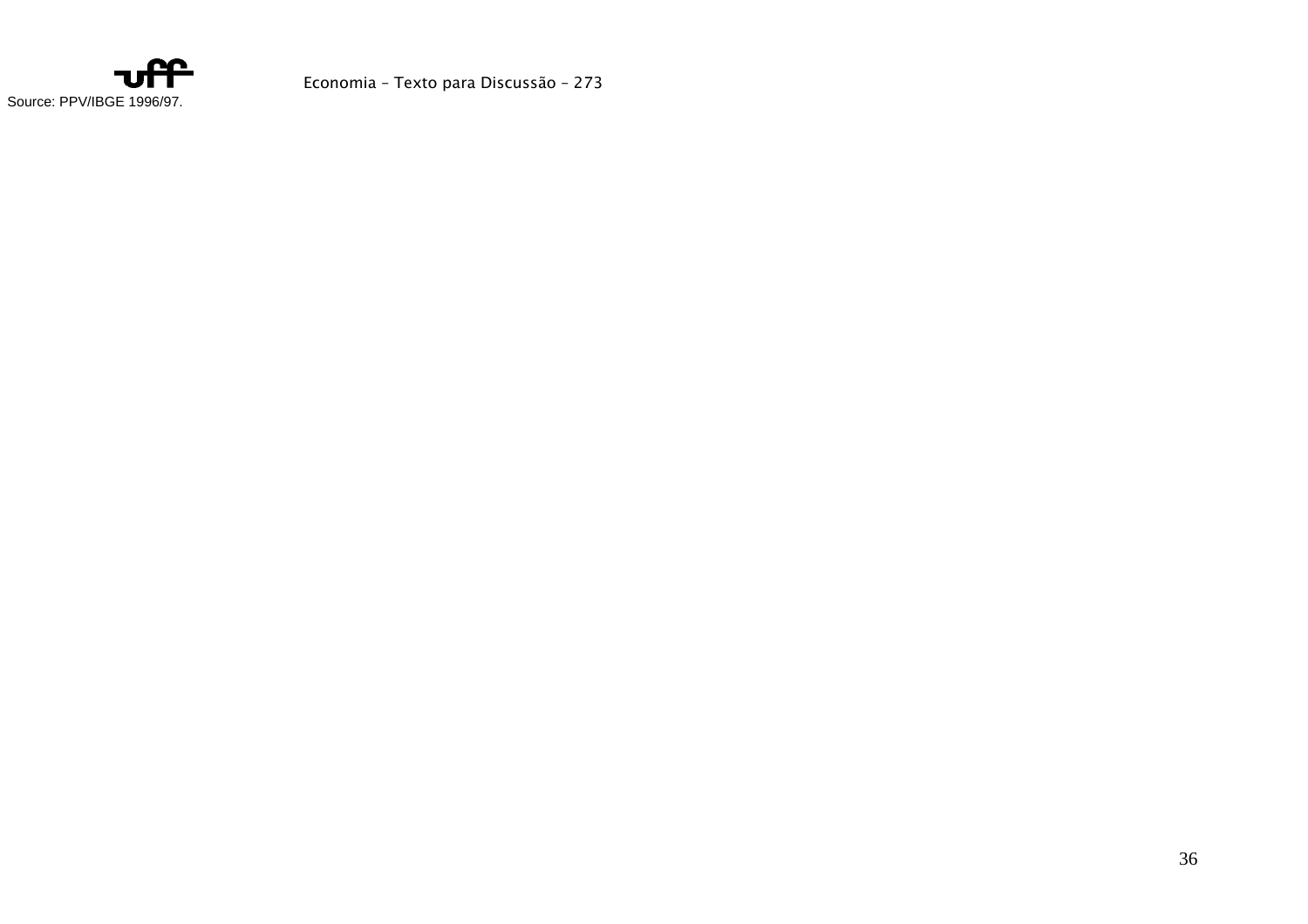